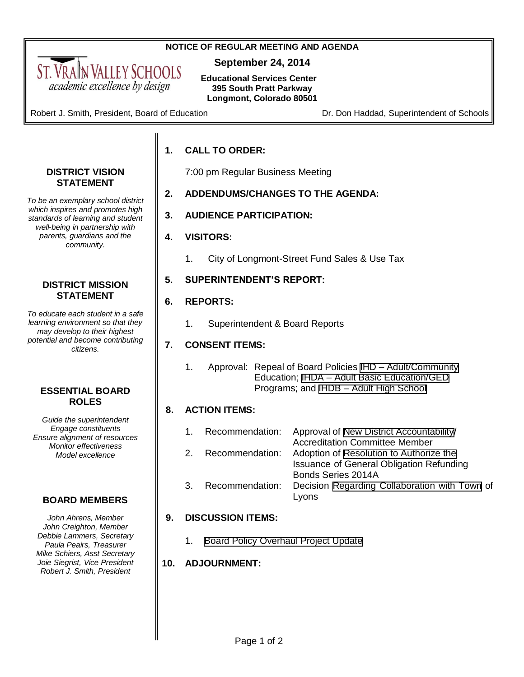### **NOTICE OF REGULAR MEETING AND AGENDA**

**September 24, 2014**

**Educational Services Center 395 South Pratt Parkway Longmont, Colorado 80501**

Robert J. Smith, President, Board of Education **Dr. Don Haddad, Superintendent of Schools** 

<span id="page-0-0"></span>ST. VRAIN VALLEY SCHOOLS academic excellence by design

# **1. CALL TO ORDER:**

7:00 pm Regular Business Meeting

- **2. ADDENDUMS/CHANGES TO THE AGENDA:**
- **3. AUDIENCE PARTICIPATION:**

# **4. VISITORS:**

1. City of Longmont-Street Fund Sales & Use Tax

# **5. SUPERINTENDENT'S REPORT:**

# **6. REPORTS:**

1. Superintendent & Board Reports

# **7. CONSENT ITEMS:**

1. Approval: Repeal of Board Policies IHD – [Adult/Community](#page-3-0)  Education; IHDA – [Adult Basic Education/GED](#page-4-0)  Programs; and IHDB – [Adult High School](#page-5-0)

# **8. ACTION ITEMS:**

- 1. Recommendation: Approval of [New District Accountability/](#page-7-0) Accreditation Committee Member
- 2. Recommendation: Adoption of [Resolution to Authorize the](#page-8-0) Issuance of General Obligation Refunding Bonds Series 2014A 3. Recommendation: Decision Regarding [Collaboration with Town](#page-59-0) of Lyons

# **9. DISCUSSION ITEMS:**

1. [Board Policy Overhaul Project Update](#page-60-0) 

# **10. ADJOURNMENT:**

# Page 1 of 2

#### **DISTRICT VISION STATEMENT**

*To be an exemplary school district which inspires and promotes high standards of learning and student well-being in partnership with parents, guardians and the community.*

## **DISTRICT MISSION STATEMENT**

*To educate each student in a safe learning environment so that they may develop to their highest potential and become contributing citizens.*

# **ESSENTIAL BOARD ROLES**

*Guide the superintendent Engage constituents Ensure alignment of resources Monitor effectiveness Model excellence*

# **BOARD MEMBERS**

*John Ahrens, Member John Creighton, Member Debbie Lammers, Secretary Paula Peairs, Treasurer Mike Schiers, Asst Secretary Joie Siegrist, Vice President Robert J. Smith, President*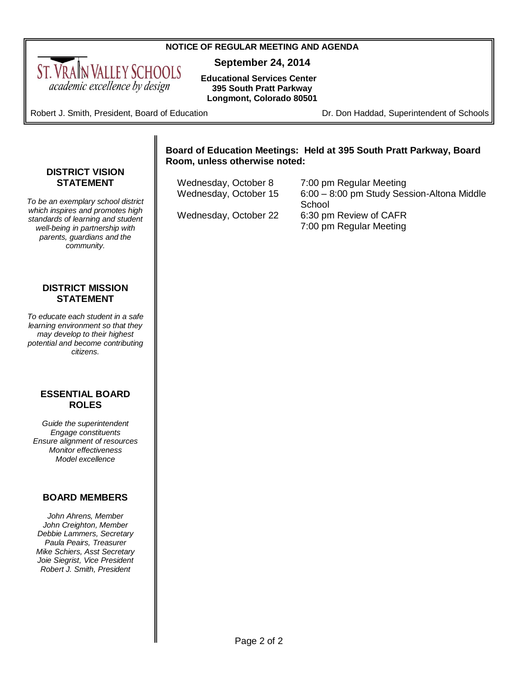#### **NOTICE OF REGULAR MEETING AND AGENDA**

**September 24, 2014**

**Educational Services Center 395 South Pratt Parkway Longmont, Colorado 80501**

Robert J. Smith, President, Board of Education **Dr. Don Haddad, Superintendent of Schools** 

<span id="page-1-0"></span>ST. VRAIN VALLEY SCHOOLS academic excellence by design

### **Board of Education Meetings: Held at 395 South Pratt Parkway, Board Room, unless otherwise noted:**

| Wednesday, October 8  | 7:00 pm Regular Meeting                    |
|-----------------------|--------------------------------------------|
| Wednesday, October 15 | 6:00 - 8:00 pm Study Session-Altona Middle |
|                       | School                                     |
| Wednesday, October 22 | 6:30 pm Review of CAFR                     |
|                       | 7:00 pm Regular Meeting                    |

#### **DISTRICT VISION STATEMENT**

*To be an exemplary school district which inspires and promotes high standards of learning and student well-being in partnership with parents, guardians and the community.*

#### **DISTRICT MISSION STATEMENT**

*To educate each student in a safe learning environment so that they may develop to their highest potential and become contributing citizens.*

### **ESSENTIAL BOARD ROLES**

*Guide the superintendent Engage constituents Ensure alignment of resources Monitor effectiveness Model excellence*

# **BOARD MEMBERS**

*John Ahrens, Member John Creighton, Member Debbie Lammers, Secretary Paula Peairs, Treasurer Mike Schiers, Asst Secretary Joie Siegrist, Vice President Robert J. Smith, President*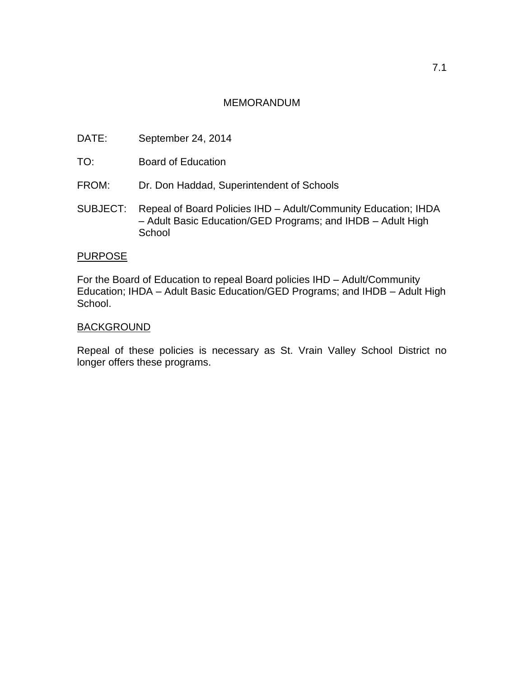# MEMORANDUM

- DATE: September 24, 2014
- TO: Board of Education
- FROM: Dr. Don Haddad, Superintendent of Schools
- SUBJECT: Repeal of Board Policies IHD Adult/Community Education; IHDA – Adult Basic Education/GED Programs; and IHDB – Adult High **School**

# **PURPOSE**

For the Board of Education to repeal Board policies IHD – Adult/Community Education; IHDA – Adult Basic Education/GED Programs; and IHDB – Adult High School.

### **BACKGROUND**

Repeal of these policies is necessary as St. Vrain Valley School District no longer offers these programs.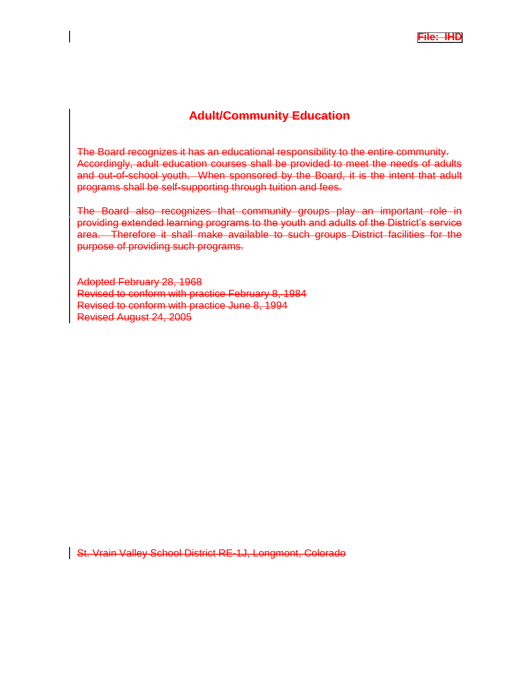# **Adult/Community Education**

<span id="page-3-0"></span>The Board recognizes it has an educational responsibility to the entire community. Accordingly, adult education courses shall be provided to meet the needs of adults and out-of-school youth. When sponsored by the Board, it is the intent that adult programs shall be self-supporting through tuition and fees.

The Board also recognizes that community groups play an important role in providing extended learning programs to the youth and adults of the District's service area. Therefore it shall make available to such groups District facilities for the purpose of providing such programs.

Adopted February 28, 1968 Revised to conform with practice February 8, 1984 Revised to conform with practice June 8, 1994 Revised August 24, 2005

St. Vrain Valley School District RE-1J, Longmont, Colorado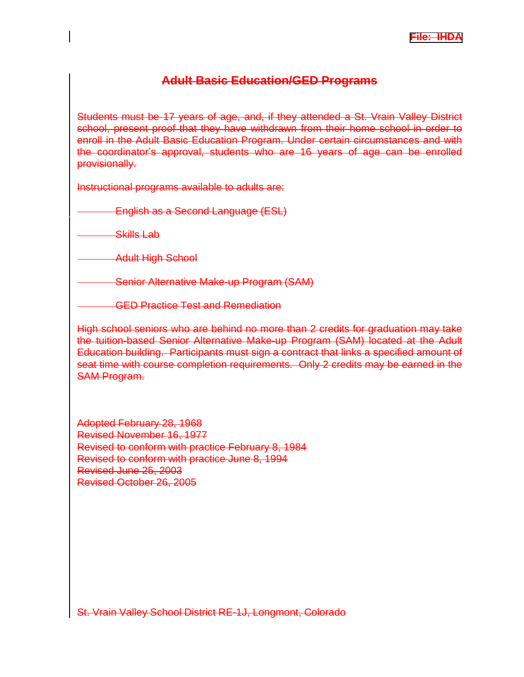# **Adult Basic Education/GED Programs**

<span id="page-4-0"></span>Students must be 17 years of age, and, if they attended a St. Vrain Valley District school, present proof that they have withdrawn from their home school in order to enroll in the Adult Basic Education Program. Under certain circumstances and with the coordinator's approval, students who are 16 years of age can be enrolled provisionally.

Instructional programs available to adults are:

English as a Second Language (ESL)

Skills Lab

Adult High School

Senior Alternative Make-up Program (SAM)

GED Practice Test and Remediation

High school seniors who are behind no more than 2 credits for graduation may take the tuition-based Senior Alternative Make-up Program (SAM) located at the Adult Education building. Participants must sign a contract that links a specified amount of seat time with course completion requirements. Only 2 credits may be earned in the SAM Program.

Adopted February 28, 1968 Revised November 16, 1977 Revised to conform with practice February 8, 1984 Revised to conform with practice June 8, 1994 Revised June 25, 2003 Revised October 26, 2005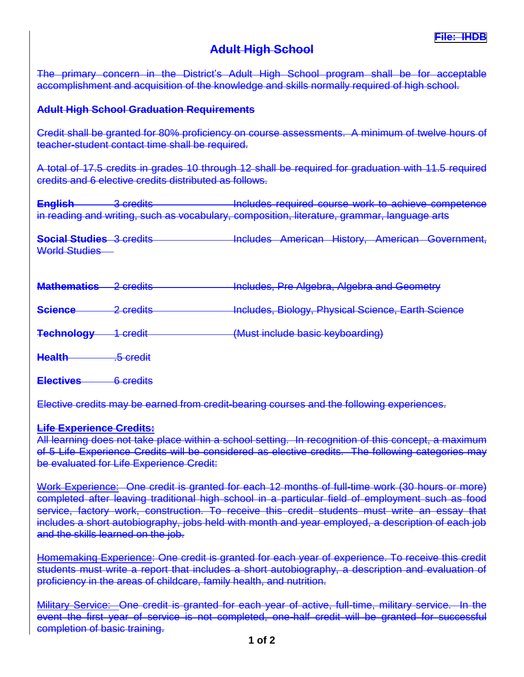# **Adult High School**

<span id="page-5-0"></span>The primary concern in the District's Adult High School program shall be for acceptable accomplishment and acquisition of the knowledge and skills normally required of high school.

# **Adult High School Graduation Requirements**

Credit shall be granted for 80% proficiency on course assessments. A minimum of twelve hours of teacher-student contact time shall be required.

A total of 17.5 credits in grades 10 through 12 shall be required for graduation with 11.5 required credits and 6 elective credits distributed as follows.

**English** 3 credits **Includes required course work to achieve competence** in reading and writing, such as vocabulary, composition, literature, grammar, language arts

**Social Studies** 3 credits **Includes American History, American Government,** World Studies

| <b>Mathematics</b> 2 credits |                      | Includes, Pre Algebra, Algebra and Geometry        |
|------------------------------|----------------------|----------------------------------------------------|
| <b>Science</b>               | 2 credits            | Includes, Biology, Physical Science, Earth Science |
| <b>Technology</b>            | <del>1 credit</del>  | (Must include basic keyboarding)                   |
| <b>Health</b>                | <del>.5 credit</del> |                                                    |

**Electives** 6 credits

Elective credits may be earned from credit-bearing courses and the following experiences.

# **Life Experience Credits:**

All learning does not take place within a school setting. In recognition of this concept, a maximum of 5 Life Experience Credits will be considered as elective credits. The following categories may be evaluated for Life Experience Credit:

Work Experience: One credit is granted for each 12 months of full-time work (30 hours or more) completed after leaving traditional high school in a particular field of employment such as food service, factory work, construction. To receive this credit students must write an essay that includes a short autobiography, jobs held with month and year employed, a description of each job and the skills learned on the job.

Homemaking Experience: One credit is granted for each year of experience. To receive this credit students must write a report that includes a short autobiography, a description and evaluation of proficiency in the areas of childcare, family health, and nutrition.

Military Service: One credit is granted for each year of active, full-time, military service. In the event the first year of service is not completed, one-half credit will be granted for successful completion of basic training.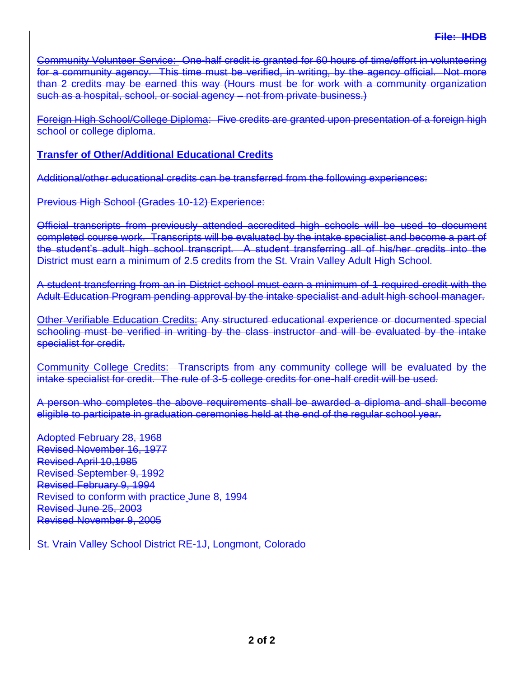Community Volunteer Service: One-half credit is granted for 60 hours of time/effort in volunteering for a community agency. This time must be verified, in writing, by the agency official. Not more than 2 credits may be earned this way (Hours must be for work with a community organization such as a hospital, school, or social agency – not from private business.)

Foreign High School/College Diploma: Five credits are granted upon presentation of a foreign high school or college diploma.

# **Transfer of Other/Additional Educational Credits**

Additional/other educational credits can be transferred from the following experiences:

Previous High School (Grades 10-12) Experience:

Official transcripts from previously attended accredited high schools will be used to document completed course work. Transcripts will be evaluated by the intake specialist and become a part of the student's adult high school transcript. A student transferring all of his/her credits into the District must earn a minimum of 2.5 credits from the St. Vrain Valley Adult High School.

A student transferring from an in-District school must earn a minimum of 1 required credit with the Adult Education Program pending approval by the intake specialist and adult high school manager.

Other Verifiable Education Credits: Any structured educational experience or documented special schooling must be verified in writing by the class instructor and will be evaluated by the intake specialist for credit.

Community College Credits: Transcripts from any community college will be evaluated by the intake specialist for credit. The rule of 3-5 college credits for one-half credit will be used.

A person who completes the above requirements shall be awarded a diploma and shall become eligible to participate in graduation ceremonies held at the end of the regular school year.

Adopted February 28, 1968 Revised November 16, 1977 Revised April 10,1985 Revised September 9, 1992 Revised February 9, 1994 Revised to conform with practice June 8, 1994 Revised June 25, 2003 Revised November 9, 2005

St. Vrain Valley School District RE-1J, Longmont, Colorado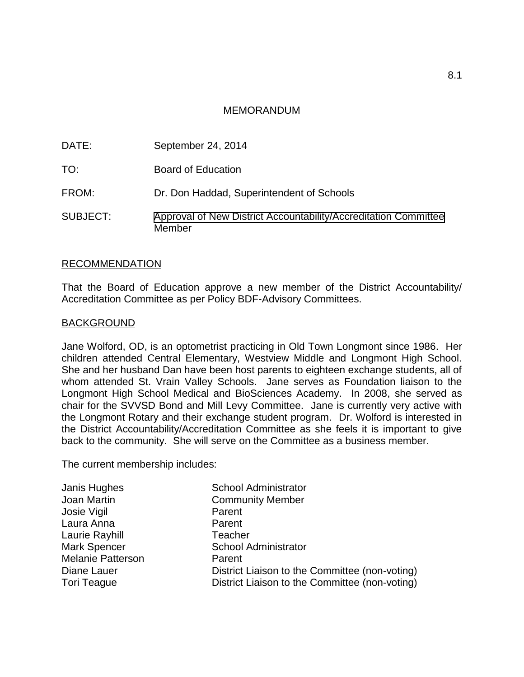# MEMORANDUM

<span id="page-7-0"></span>

| DATE:    | September 24, 2014                                                        |
|----------|---------------------------------------------------------------------------|
| TO:      | <b>Board of Education</b>                                                 |
| FROM:    | Dr. Don Haddad, Superintendent of Schools                                 |
| SUBJECT: | Approval of New District Accountability/Accreditation Committee<br>Member |

# RECOMMENDATION

That the Board of Education approve a new member of the District Accountability/ Accreditation Committee as per Policy BDF-Advisory Committees.

### **BACKGROUND**

Jane Wolford, OD, is an optometrist practicing in Old Town Longmont since 1986. Her children attended Central Elementary, Westview Middle and Longmont High School. She and her husband Dan have been host parents to eighteen exchange students, all of whom attended St. Vrain Valley Schools. Jane serves as Foundation liaison to the Longmont High School Medical and BioSciences Academy. In 2008, she served as chair for the SVVSD Bond and Mill Levy Committee. Jane is currently very active with the Longmont Rotary and their exchange student program. Dr. Wolford is interested in the District Accountability/Accreditation Committee as she feels it is important to give back to the community. She will serve on the Committee as a business member.

The current membership includes:

| Janis Hughes             | <b>School Administrator</b>                    |
|--------------------------|------------------------------------------------|
| Joan Martin              | <b>Community Member</b>                        |
| Josie Vigil              | Parent                                         |
| Laura Anna               | Parent                                         |
| Laurie Rayhill           | Teacher                                        |
| <b>Mark Spencer</b>      | <b>School Administrator</b>                    |
| <b>Melanie Patterson</b> | Parent                                         |
| Diane Lauer              | District Liaison to the Committee (non-voting) |
| <b>Tori Teague</b>       | District Liaison to the Committee (non-voting) |
|                          |                                                |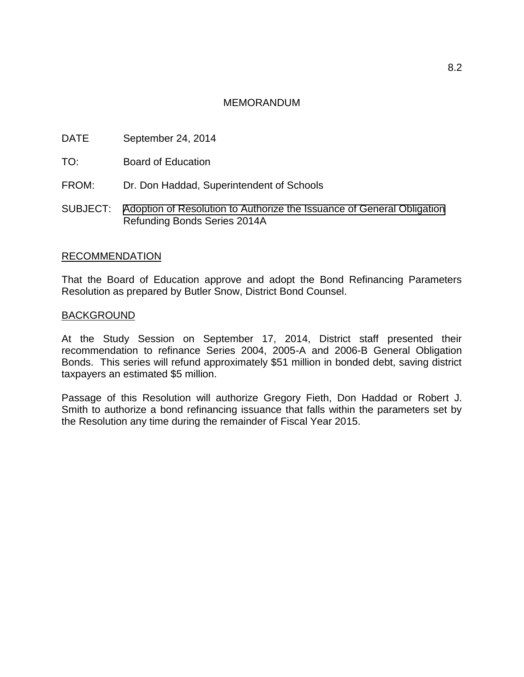# MEMORANDUM

- <span id="page-8-0"></span>DATE September 24, 2014
- TO: Board of Education
- FROM: Dr. Don Haddad, Superintendent of Schools
- SUBJECT: [Adoption of Resolution to Authorize the Issuance of General Obligation](#page-0-0) Refunding Bonds Series 2014A

### RECOMMENDATION

That the Board of Education approve and adopt the Bond Refinancing Parameters Resolution as prepared by Butler Snow, District Bond Counsel.

### BACKGROUND

At the Study Session on September 17, 2014, District staff presented their recommendation to refinance Series 2004, 2005-A and 2006-B General Obligation Bonds. This series will refund approximately \$51 million in bonded debt, saving district taxpayers an estimated \$5 million.

Passage of this Resolution will authorize Gregory Fieth, Don Haddad or Robert J. Smith to authorize a bond refinancing issuance that falls within the parameters set by the Resolution any time during the remainder of Fiscal Year 2015.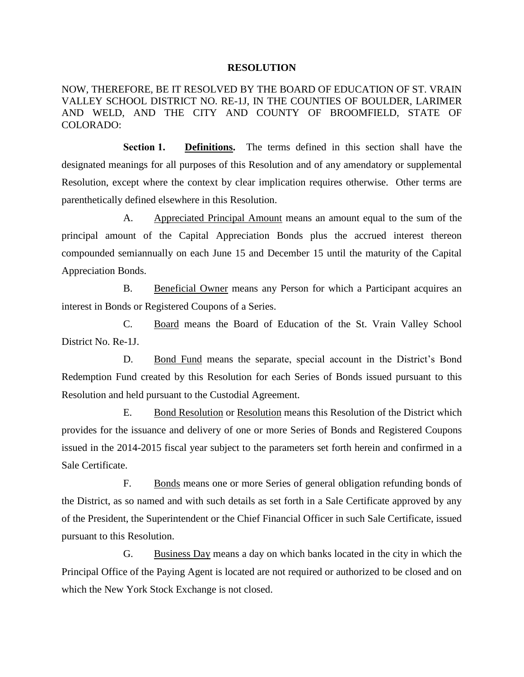#### **RESOLUTION**

NOW, THEREFORE, BE IT RESOLVED BY THE BOARD OF EDUCATION OF ST. VRAIN VALLEY SCHOOL DISTRICT NO. RE-1J, IN THE COUNTIES OF BOULDER, LARIMER AND WELD, AND THE CITY AND COUNTY OF BROOMFIELD, STATE OF COLORADO:

**Section 1. Definitions.** The terms defined in this section shall have the designated meanings for all purposes of this Resolution and of any amendatory or supplemental Resolution, except where the context by clear implication requires otherwise. Other terms are parenthetically defined elsewhere in this Resolution.

A. Appreciated Principal Amount means an amount equal to the sum of the principal amount of the Capital Appreciation Bonds plus the accrued interest thereon compounded semiannually on each June 15 and December 15 until the maturity of the Capital Appreciation Bonds.

B. Beneficial Owner means any Person for which a Participant acquires an interest in Bonds or Registered Coupons of a Series.

C. Board means the Board of Education of the St. Vrain Valley School District No. Re-1J.

D. Bond Fund means the separate, special account in the District's Bond Redemption Fund created by this Resolution for each Series of Bonds issued pursuant to this Resolution and held pursuant to the Custodial Agreement.

E. Bond Resolution or Resolution means this Resolution of the District which provides for the issuance and delivery of one or more Series of Bonds and Registered Coupons issued in the 2014-2015 fiscal year subject to the parameters set forth herein and confirmed in a Sale Certificate.

F. Bonds means one or more Series of general obligation refunding bonds of the District, as so named and with such details as set forth in a Sale Certificate approved by any of the President, the Superintendent or the Chief Financial Officer in such Sale Certificate, issued pursuant to this Resolution.

G. Business Day means a day on which banks located in the city in which the Principal Office of the Paying Agent is located are not required or authorized to be closed and on which the New York Stock Exchange is not closed.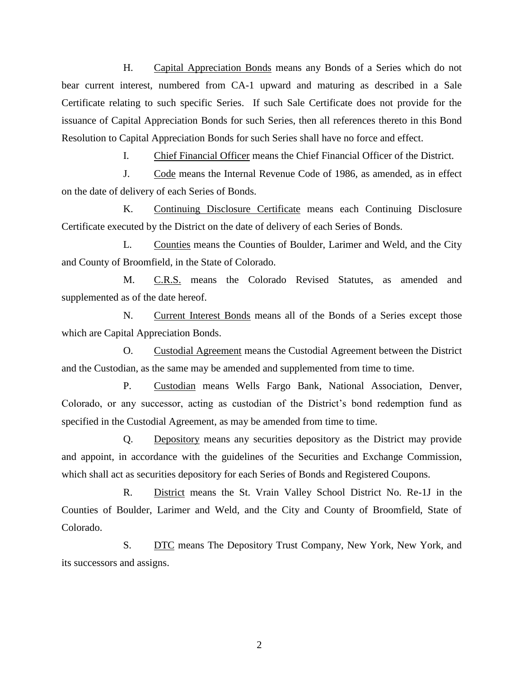H. Capital Appreciation Bonds means any Bonds of a Series which do not bear current interest, numbered from CA-1 upward and maturing as described in a Sale Certificate relating to such specific Series. If such Sale Certificate does not provide for the issuance of Capital Appreciation Bonds for such Series, then all references thereto in this Bond Resolution to Capital Appreciation Bonds for such Series shall have no force and effect.

I. Chief Financial Officer means the Chief Financial Officer of the District.

J. Code means the Internal Revenue Code of 1986, as amended, as in effect on the date of delivery of each Series of Bonds.

K. Continuing Disclosure Certificate means each Continuing Disclosure Certificate executed by the District on the date of delivery of each Series of Bonds.

L. Counties means the Counties of Boulder, Larimer and Weld, and the City and County of Broomfield, in the State of Colorado.

M. C.R.S. means the Colorado Revised Statutes, as amended and supplemented as of the date hereof.

N. Current Interest Bonds means all of the Bonds of a Series except those which are Capital Appreciation Bonds.

O. Custodial Agreement means the Custodial Agreement between the District and the Custodian, as the same may be amended and supplemented from time to time.

P. Custodian means Wells Fargo Bank, National Association, Denver, Colorado, or any successor, acting as custodian of the District's bond redemption fund as specified in the Custodial Agreement, as may be amended from time to time.

Q. Depository means any securities depository as the District may provide and appoint, in accordance with the guidelines of the Securities and Exchange Commission, which shall act as securities depository for each Series of Bonds and Registered Coupons.

R. District means the St. Vrain Valley School District No. Re-1J in the Counties of Boulder, Larimer and Weld, and the City and County of Broomfield, State of Colorado.

S. DTC means The Depository Trust Company, New York, New York, and its successors and assigns.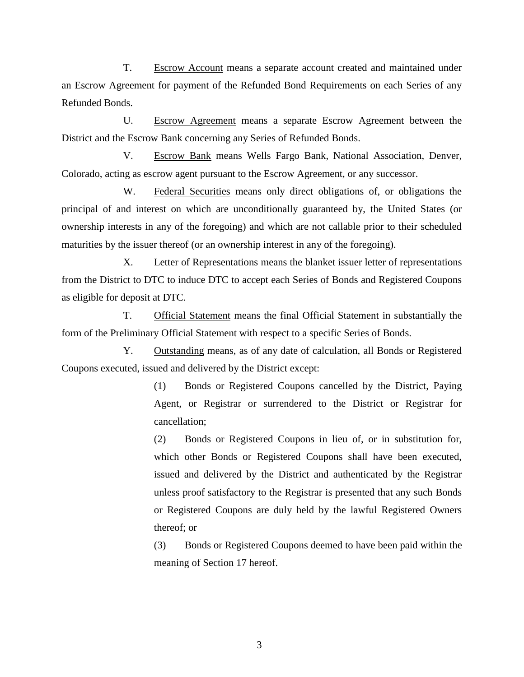T. Escrow Account means a separate account created and maintained under an Escrow Agreement for payment of the Refunded Bond Requirements on each Series of any Refunded Bonds.

U. Escrow Agreement means a separate Escrow Agreement between the District and the Escrow Bank concerning any Series of Refunded Bonds.

V. Escrow Bank means Wells Fargo Bank, National Association, Denver, Colorado, acting as escrow agent pursuant to the Escrow Agreement, or any successor.

W. Federal Securities means only direct obligations of, or obligations the principal of and interest on which are unconditionally guaranteed by, the United States (or ownership interests in any of the foregoing) and which are not callable prior to their scheduled maturities by the issuer thereof (or an ownership interest in any of the foregoing).

X. Letter of Representations means the blanket issuer letter of representations from the District to DTC to induce DTC to accept each Series of Bonds and Registered Coupons as eligible for deposit at DTC.

T. Official Statement means the final Official Statement in substantially the form of the Preliminary Official Statement with respect to a specific Series of Bonds.

Y. Outstanding means, as of any date of calculation, all Bonds or Registered Coupons executed, issued and delivered by the District except:

> (1) Bonds or Registered Coupons cancelled by the District, Paying Agent, or Registrar or surrendered to the District or Registrar for cancellation;

> (2) Bonds or Registered Coupons in lieu of, or in substitution for, which other Bonds or Registered Coupons shall have been executed, issued and delivered by the District and authenticated by the Registrar unless proof satisfactory to the Registrar is presented that any such Bonds or Registered Coupons are duly held by the lawful Registered Owners thereof; or

> (3) Bonds or Registered Coupons deemed to have been paid within the meaning of Section 17 hereof.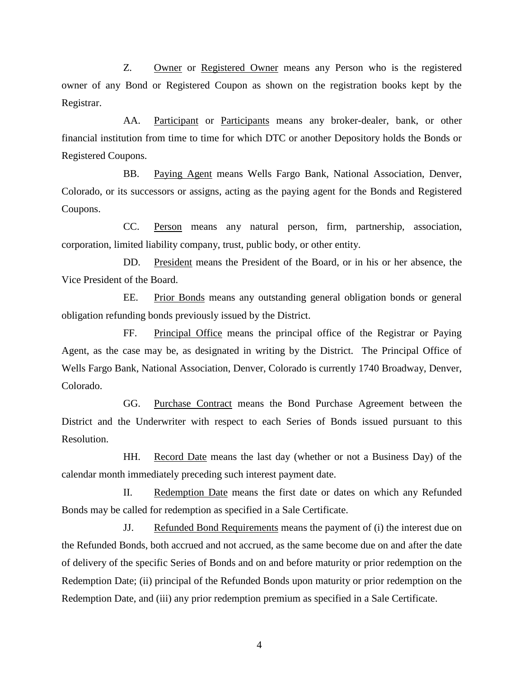Z. Owner or Registered Owner means any Person who is the registered owner of any Bond or Registered Coupon as shown on the registration books kept by the Registrar.

AA. Participant or Participants means any broker-dealer, bank, or other financial institution from time to time for which DTC or another Depository holds the Bonds or Registered Coupons.

BB. Paying Agent means Wells Fargo Bank, National Association, Denver, Colorado, or its successors or assigns, acting as the paying agent for the Bonds and Registered Coupons.

CC. Person means any natural person, firm, partnership, association, corporation, limited liability company, trust, public body, or other entity.

DD. President means the President of the Board, or in his or her absence, the Vice President of the Board.

EE. Prior Bonds means any outstanding general obligation bonds or general obligation refunding bonds previously issued by the District.

FF. Principal Office means the principal office of the Registrar or Paying Agent, as the case may be, as designated in writing by the District. The Principal Office of Wells Fargo Bank, National Association, Denver, Colorado is currently 1740 Broadway, Denver, Colorado.

GG. Purchase Contract means the Bond Purchase Agreement between the District and the Underwriter with respect to each Series of Bonds issued pursuant to this Resolution.

HH. Record Date means the last day (whether or not a Business Day) of the calendar month immediately preceding such interest payment date.

II. Redemption Date means the first date or dates on which any Refunded Bonds may be called for redemption as specified in a Sale Certificate.

JJ. Refunded Bond Requirements means the payment of (i) the interest due on the Refunded Bonds, both accrued and not accrued, as the same become due on and after the date of delivery of the specific Series of Bonds and on and before maturity or prior redemption on the Redemption Date; (ii) principal of the Refunded Bonds upon maturity or prior redemption on the Redemption Date, and (iii) any prior redemption premium as specified in a Sale Certificate.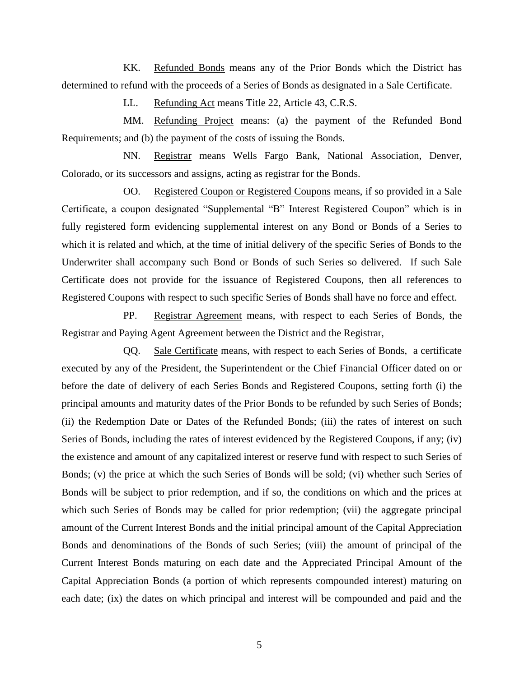KK. Refunded Bonds means any of the Prior Bonds which the District has determined to refund with the proceeds of a Series of Bonds as designated in a Sale Certificate.

LL. Refunding Act means Title 22, Article 43, C.R.S.

MM. Refunding Project means: (a) the payment of the Refunded Bond Requirements; and (b) the payment of the costs of issuing the Bonds.

NN. Registrar means Wells Fargo Bank, National Association, Denver, Colorado, or its successors and assigns, acting as registrar for the Bonds.

OO. Registered Coupon or Registered Coupons means, if so provided in a Sale Certificate, a coupon designated "Supplemental "B" Interest Registered Coupon" which is in fully registered form evidencing supplemental interest on any Bond or Bonds of a Series to which it is related and which, at the time of initial delivery of the specific Series of Bonds to the Underwriter shall accompany such Bond or Bonds of such Series so delivered. If such Sale Certificate does not provide for the issuance of Registered Coupons, then all references to Registered Coupons with respect to such specific Series of Bonds shall have no force and effect.

PP. Registrar Agreement means, with respect to each Series of Bonds, the Registrar and Paying Agent Agreement between the District and the Registrar,

QQ. Sale Certificate means, with respect to each Series of Bonds, a certificate executed by any of the President, the Superintendent or the Chief Financial Officer dated on or before the date of delivery of each Series Bonds and Registered Coupons, setting forth (i) the principal amounts and maturity dates of the Prior Bonds to be refunded by such Series of Bonds; (ii) the Redemption Date or Dates of the Refunded Bonds; (iii) the rates of interest on such Series of Bonds, including the rates of interest evidenced by the Registered Coupons, if any; (iv) the existence and amount of any capitalized interest or reserve fund with respect to such Series of Bonds; (v) the price at which the such Series of Bonds will be sold; (vi) whether such Series of Bonds will be subject to prior redemption, and if so, the conditions on which and the prices at which such Series of Bonds may be called for prior redemption; (vii) the aggregate principal amount of the Current Interest Bonds and the initial principal amount of the Capital Appreciation Bonds and denominations of the Bonds of such Series; (viii) the amount of principal of the Current Interest Bonds maturing on each date and the Appreciated Principal Amount of the Capital Appreciation Bonds (a portion of which represents compounded interest) maturing on each date; (ix) the dates on which principal and interest will be compounded and paid and the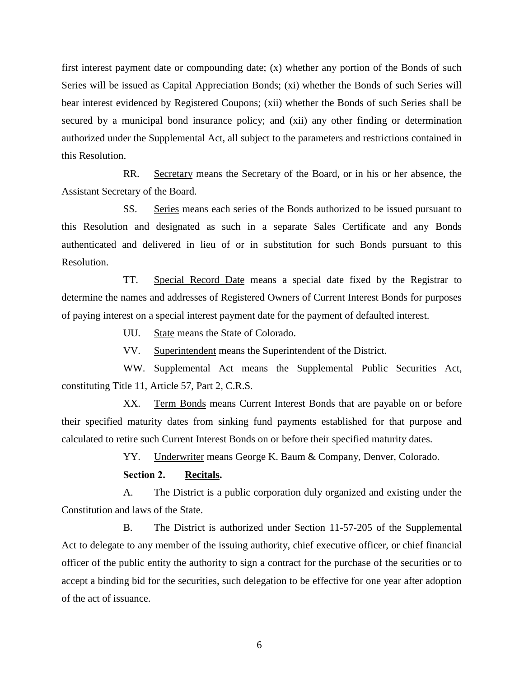first interest payment date or compounding date; (x) whether any portion of the Bonds of such Series will be issued as Capital Appreciation Bonds; (xi) whether the Bonds of such Series will bear interest evidenced by Registered Coupons; (xii) whether the Bonds of such Series shall be secured by a municipal bond insurance policy; and (xii) any other finding or determination authorized under the Supplemental Act, all subject to the parameters and restrictions contained in this Resolution.

RR. Secretary means the Secretary of the Board, or in his or her absence, the Assistant Secretary of the Board.

SS. Series means each series of the Bonds authorized to be issued pursuant to this Resolution and designated as such in a separate Sales Certificate and any Bonds authenticated and delivered in lieu of or in substitution for such Bonds pursuant to this Resolution.

TT. Special Record Date means a special date fixed by the Registrar to determine the names and addresses of Registered Owners of Current Interest Bonds for purposes of paying interest on a special interest payment date for the payment of defaulted interest.

UU. State means the State of Colorado.

VV. Superintendent means the Superintendent of the District.

WW. Supplemental Act means the Supplemental Public Securities Act, constituting Title 11, Article 57, Part 2, C.R.S.

XX. Term Bonds means Current Interest Bonds that are payable on or before their specified maturity dates from sinking fund payments established for that purpose and calculated to retire such Current Interest Bonds on or before their specified maturity dates.

YY. Underwriter means George K. Baum & Company, Denver, Colorado.

**Section 2. Recitals.**

A. The District is a public corporation duly organized and existing under the Constitution and laws of the State.

B. The District is authorized under Section 11-57-205 of the Supplemental Act to delegate to any member of the issuing authority, chief executive officer, or chief financial officer of the public entity the authority to sign a contract for the purchase of the securities or to accept a binding bid for the securities, such delegation to be effective for one year after adoption of the act of issuance.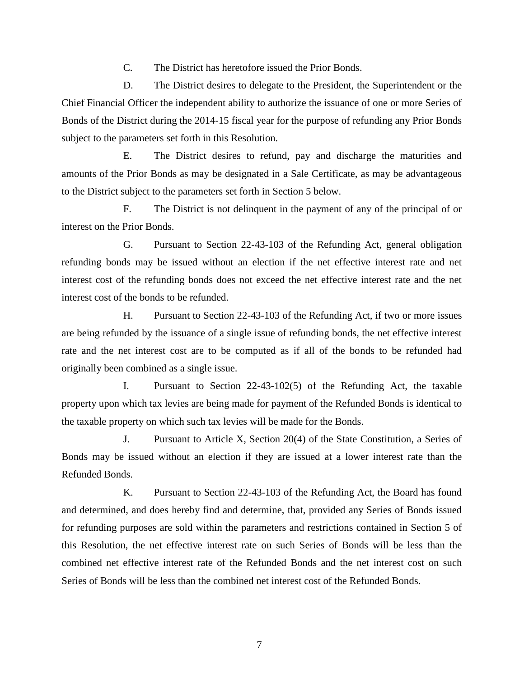C. The District has heretofore issued the Prior Bonds.

D. The District desires to delegate to the President, the Superintendent or the Chief Financial Officer the independent ability to authorize the issuance of one or more Series of Bonds of the District during the 2014-15 fiscal year for the purpose of refunding any Prior Bonds subject to the parameters set forth in this Resolution.

E. The District desires to refund, pay and discharge the maturities and amounts of the Prior Bonds as may be designated in a Sale Certificate, as may be advantageous to the District subject to the parameters set forth in Section 5 below.

F. The District is not delinquent in the payment of any of the principal of or interest on the Prior Bonds.

G. Pursuant to Section 22-43-103 of the Refunding Act, general obligation refunding bonds may be issued without an election if the net effective interest rate and net interest cost of the refunding bonds does not exceed the net effective interest rate and the net interest cost of the bonds to be refunded.

H. Pursuant to Section 22-43-103 of the Refunding Act, if two or more issues are being refunded by the issuance of a single issue of refunding bonds, the net effective interest rate and the net interest cost are to be computed as if all of the bonds to be refunded had originally been combined as a single issue.

I. Pursuant to Section 22-43-102(5) of the Refunding Act, the taxable property upon which tax levies are being made for payment of the Refunded Bonds is identical to the taxable property on which such tax levies will be made for the Bonds.

J. Pursuant to Article X, Section 20(4) of the State Constitution, a Series of Bonds may be issued without an election if they are issued at a lower interest rate than the Refunded Bonds.

K. Pursuant to Section 22-43-103 of the Refunding Act, the Board has found and determined, and does hereby find and determine, that, provided any Series of Bonds issued for refunding purposes are sold within the parameters and restrictions contained in Section 5 of this Resolution, the net effective interest rate on such Series of Bonds will be less than the combined net effective interest rate of the Refunded Bonds and the net interest cost on such Series of Bonds will be less than the combined net interest cost of the Refunded Bonds.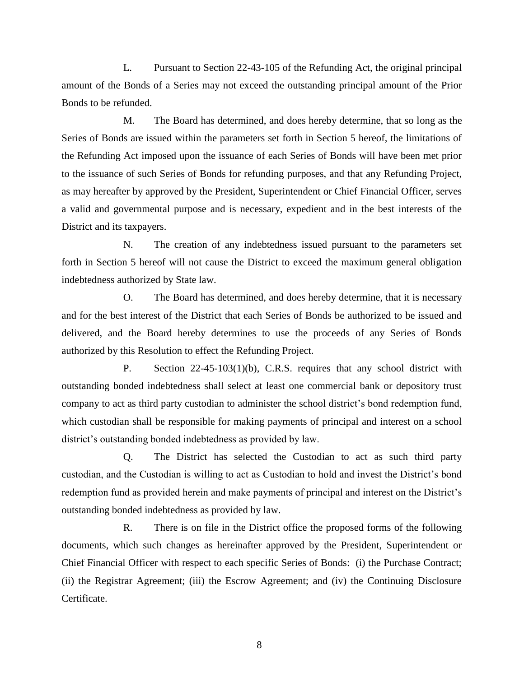L. Pursuant to Section 22-43-105 of the Refunding Act, the original principal amount of the Bonds of a Series may not exceed the outstanding principal amount of the Prior Bonds to be refunded.

M. The Board has determined, and does hereby determine, that so long as the Series of Bonds are issued within the parameters set forth in Section 5 hereof, the limitations of the Refunding Act imposed upon the issuance of each Series of Bonds will have been met prior to the issuance of such Series of Bonds for refunding purposes, and that any Refunding Project, as may hereafter by approved by the President, Superintendent or Chief Financial Officer, serves a valid and governmental purpose and is necessary, expedient and in the best interests of the District and its taxpayers.

N. The creation of any indebtedness issued pursuant to the parameters set forth in Section 5 hereof will not cause the District to exceed the maximum general obligation indebtedness authorized by State law.

O. The Board has determined, and does hereby determine, that it is necessary and for the best interest of the District that each Series of Bonds be authorized to be issued and delivered, and the Board hereby determines to use the proceeds of any Series of Bonds authorized by this Resolution to effect the Refunding Project.

P. Section 22-45-103(1)(b), C.R.S. requires that any school district with outstanding bonded indebtedness shall select at least one commercial bank or depository trust company to act as third party custodian to administer the school district's bond redemption fund, which custodian shall be responsible for making payments of principal and interest on a school district's outstanding bonded indebtedness as provided by law.

Q. The District has selected the Custodian to act as such third party custodian, and the Custodian is willing to act as Custodian to hold and invest the District's bond redemption fund as provided herein and make payments of principal and interest on the District's outstanding bonded indebtedness as provided by law.

R. There is on file in the District office the proposed forms of the following documents, which such changes as hereinafter approved by the President, Superintendent or Chief Financial Officer with respect to each specific Series of Bonds: (i) the Purchase Contract; (ii) the Registrar Agreement; (iii) the Escrow Agreement; and (iv) the Continuing Disclosure Certificate.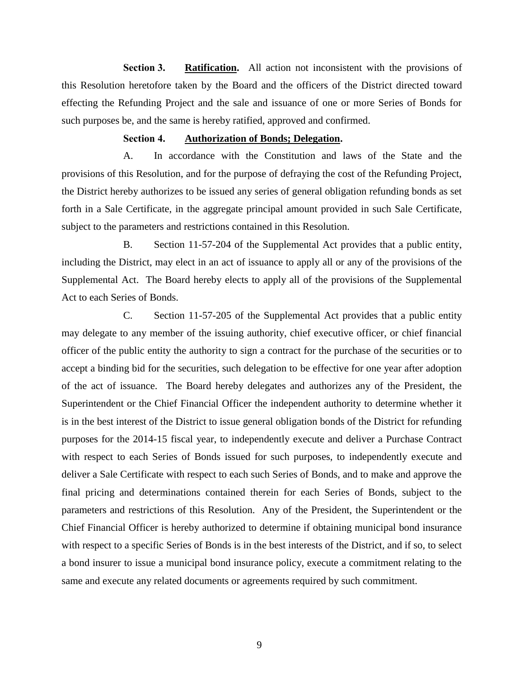**Section 3. Ratification.** All action not inconsistent with the provisions of this Resolution heretofore taken by the Board and the officers of the District directed toward effecting the Refunding Project and the sale and issuance of one or more Series of Bonds for such purposes be, and the same is hereby ratified, approved and confirmed.

#### **Section 4. Authorization of Bonds; Delegation.**

A. In accordance with the Constitution and laws of the State and the provisions of this Resolution, and for the purpose of defraying the cost of the Refunding Project, the District hereby authorizes to be issued any series of general obligation refunding bonds as set forth in a Sale Certificate, in the aggregate principal amount provided in such Sale Certificate, subject to the parameters and restrictions contained in this Resolution.

B. Section 11-57-204 of the Supplemental Act provides that a public entity, including the District, may elect in an act of issuance to apply all or any of the provisions of the Supplemental Act. The Board hereby elects to apply all of the provisions of the Supplemental Act to each Series of Bonds.

C. Section 11-57-205 of the Supplemental Act provides that a public entity may delegate to any member of the issuing authority, chief executive officer, or chief financial officer of the public entity the authority to sign a contract for the purchase of the securities or to accept a binding bid for the securities, such delegation to be effective for one year after adoption of the act of issuance. The Board hereby delegates and authorizes any of the President, the Superintendent or the Chief Financial Officer the independent authority to determine whether it is in the best interest of the District to issue general obligation bonds of the District for refunding purposes for the 2014-15 fiscal year, to independently execute and deliver a Purchase Contract with respect to each Series of Bonds issued for such purposes, to independently execute and deliver a Sale Certificate with respect to each such Series of Bonds, and to make and approve the final pricing and determinations contained therein for each Series of Bonds, subject to the parameters and restrictions of this Resolution. Any of the President, the Superintendent or the Chief Financial Officer is hereby authorized to determine if obtaining municipal bond insurance with respect to a specific Series of Bonds is in the best interests of the District, and if so, to select a bond insurer to issue a municipal bond insurance policy, execute a commitment relating to the same and execute any related documents or agreements required by such commitment.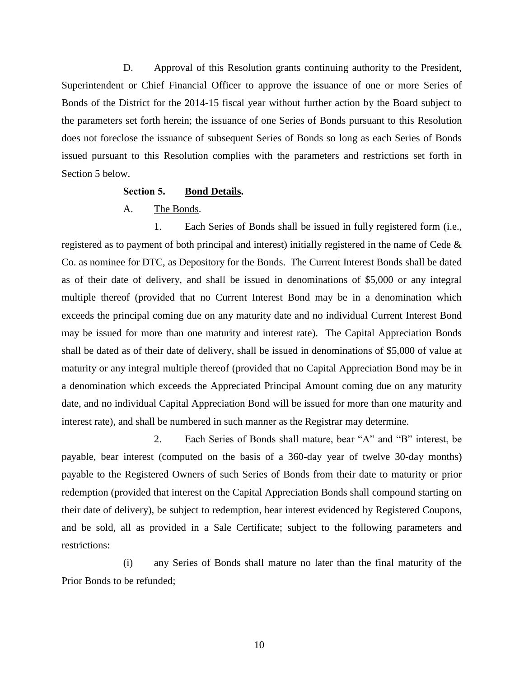D. Approval of this Resolution grants continuing authority to the President, Superintendent or Chief Financial Officer to approve the issuance of one or more Series of Bonds of the District for the 2014-15 fiscal year without further action by the Board subject to the parameters set forth herein; the issuance of one Series of Bonds pursuant to this Resolution does not foreclose the issuance of subsequent Series of Bonds so long as each Series of Bonds issued pursuant to this Resolution complies with the parameters and restrictions set forth in Section 5 below.

#### **Section 5. Bond Details.**

A. The Bonds.

1. Each Series of Bonds shall be issued in fully registered form (i.e., registered as to payment of both principal and interest) initially registered in the name of Cede  $\&$ Co. as nominee for DTC, as Depository for the Bonds. The Current Interest Bonds shall be dated as of their date of delivery, and shall be issued in denominations of \$5,000 or any integral multiple thereof (provided that no Current Interest Bond may be in a denomination which exceeds the principal coming due on any maturity date and no individual Current Interest Bond may be issued for more than one maturity and interest rate). The Capital Appreciation Bonds shall be dated as of their date of delivery, shall be issued in denominations of \$5,000 of value at maturity or any integral multiple thereof (provided that no Capital Appreciation Bond may be in a denomination which exceeds the Appreciated Principal Amount coming due on any maturity date, and no individual Capital Appreciation Bond will be issued for more than one maturity and interest rate), and shall be numbered in such manner as the Registrar may determine.

2. Each Series of Bonds shall mature, bear "A" and "B" interest, be payable, bear interest (computed on the basis of a 360-day year of twelve 30-day months) payable to the Registered Owners of such Series of Bonds from their date to maturity or prior redemption (provided that interest on the Capital Appreciation Bonds shall compound starting on their date of delivery), be subject to redemption, bear interest evidenced by Registered Coupons, and be sold, all as provided in a Sale Certificate; subject to the following parameters and restrictions:

(i) any Series of Bonds shall mature no later than the final maturity of the Prior Bonds to be refunded;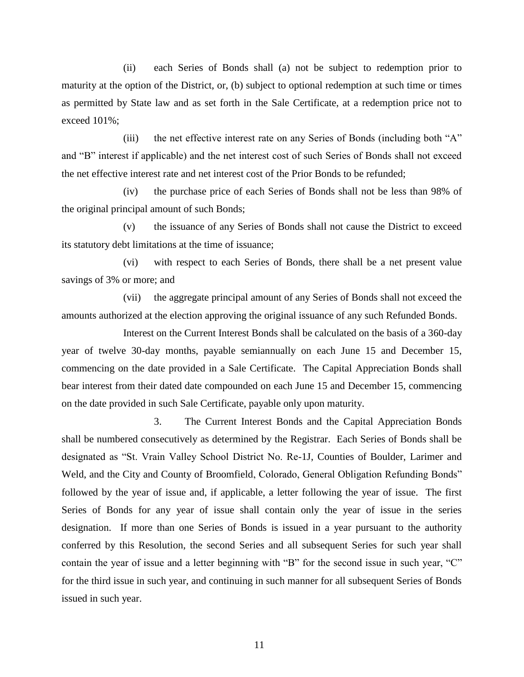(ii) each Series of Bonds shall (a) not be subject to redemption prior to maturity at the option of the District, or, (b) subject to optional redemption at such time or times as permitted by State law and as set forth in the Sale Certificate, at a redemption price not to exceed 101%;

(iii) the net effective interest rate on any Series of Bonds (including both "A" and "B" interest if applicable) and the net interest cost of such Series of Bonds shall not exceed the net effective interest rate and net interest cost of the Prior Bonds to be refunded;

(iv) the purchase price of each Series of Bonds shall not be less than 98% of the original principal amount of such Bonds;

(v) the issuance of any Series of Bonds shall not cause the District to exceed its statutory debt limitations at the time of issuance;

(vi) with respect to each Series of Bonds, there shall be a net present value savings of 3% or more; and

(vii) the aggregate principal amount of any Series of Bonds shall not exceed the amounts authorized at the election approving the original issuance of any such Refunded Bonds.

Interest on the Current Interest Bonds shall be calculated on the basis of a 360-day year of twelve 30-day months, payable semiannually on each June 15 and December 15, commencing on the date provided in a Sale Certificate. The Capital Appreciation Bonds shall bear interest from their dated date compounded on each June 15 and December 15, commencing on the date provided in such Sale Certificate, payable only upon maturity.

3. The Current Interest Bonds and the Capital Appreciation Bonds shall be numbered consecutively as determined by the Registrar. Each Series of Bonds shall be designated as "St. Vrain Valley School District No. Re-1J, Counties of Boulder, Larimer and Weld, and the City and County of Broomfield, Colorado, General Obligation Refunding Bonds" followed by the year of issue and, if applicable, a letter following the year of issue. The first Series of Bonds for any year of issue shall contain only the year of issue in the series designation. If more than one Series of Bonds is issued in a year pursuant to the authority conferred by this Resolution, the second Series and all subsequent Series for such year shall contain the year of issue and a letter beginning with "B" for the second issue in such year, "C" for the third issue in such year, and continuing in such manner for all subsequent Series of Bonds issued in such year.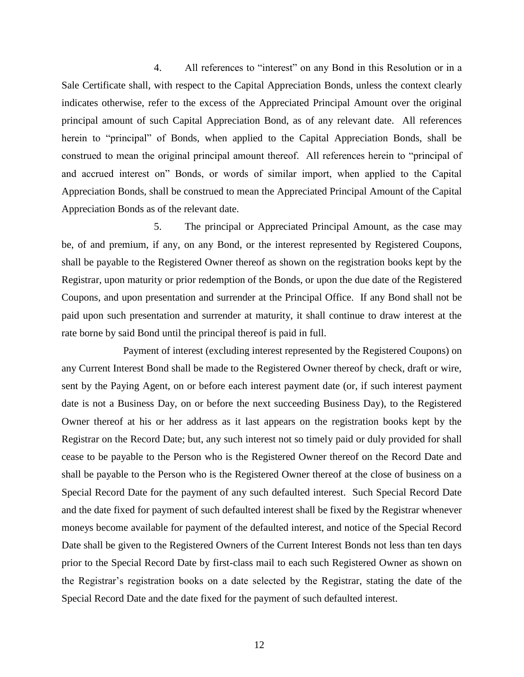4. All references to "interest" on any Bond in this Resolution or in a Sale Certificate shall, with respect to the Capital Appreciation Bonds, unless the context clearly indicates otherwise, refer to the excess of the Appreciated Principal Amount over the original principal amount of such Capital Appreciation Bond, as of any relevant date. All references herein to "principal" of Bonds, when applied to the Capital Appreciation Bonds, shall be construed to mean the original principal amount thereof. All references herein to "principal of and accrued interest on" Bonds, or words of similar import, when applied to the Capital Appreciation Bonds, shall be construed to mean the Appreciated Principal Amount of the Capital Appreciation Bonds as of the relevant date.

5. The principal or Appreciated Principal Amount, as the case may be, of and premium, if any, on any Bond, or the interest represented by Registered Coupons, shall be payable to the Registered Owner thereof as shown on the registration books kept by the Registrar, upon maturity or prior redemption of the Bonds, or upon the due date of the Registered Coupons, and upon presentation and surrender at the Principal Office. If any Bond shall not be paid upon such presentation and surrender at maturity, it shall continue to draw interest at the rate borne by said Bond until the principal thereof is paid in full.

Payment of interest (excluding interest represented by the Registered Coupons) on any Current Interest Bond shall be made to the Registered Owner thereof by check, draft or wire, sent by the Paying Agent, on or before each interest payment date (or, if such interest payment date is not a Business Day, on or before the next succeeding Business Day), to the Registered Owner thereof at his or her address as it last appears on the registration books kept by the Registrar on the Record Date; but, any such interest not so timely paid or duly provided for shall cease to be payable to the Person who is the Registered Owner thereof on the Record Date and shall be payable to the Person who is the Registered Owner thereof at the close of business on a Special Record Date for the payment of any such defaulted interest. Such Special Record Date and the date fixed for payment of such defaulted interest shall be fixed by the Registrar whenever moneys become available for payment of the defaulted interest, and notice of the Special Record Date shall be given to the Registered Owners of the Current Interest Bonds not less than ten days prior to the Special Record Date by first-class mail to each such Registered Owner as shown on the Registrar's registration books on a date selected by the Registrar, stating the date of the Special Record Date and the date fixed for the payment of such defaulted interest.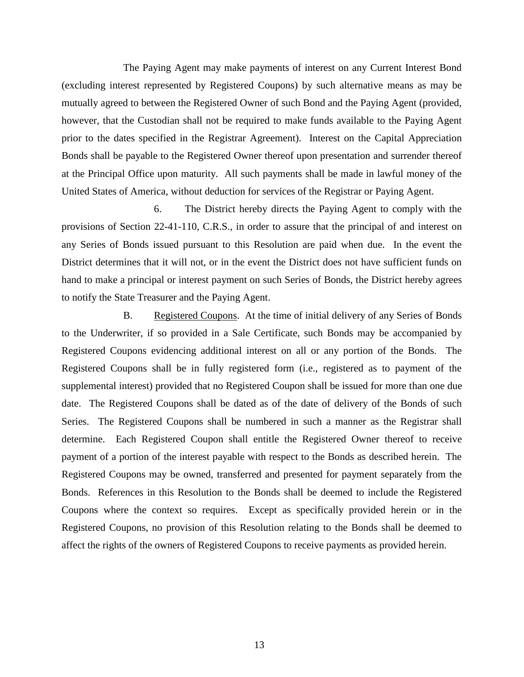The Paying Agent may make payments of interest on any Current Interest Bond (excluding interest represented by Registered Coupons) by such alternative means as may be mutually agreed to between the Registered Owner of such Bond and the Paying Agent (provided, however, that the Custodian shall not be required to make funds available to the Paying Agent prior to the dates specified in the Registrar Agreement). Interest on the Capital Appreciation Bonds shall be payable to the Registered Owner thereof upon presentation and surrender thereof at the Principal Office upon maturity. All such payments shall be made in lawful money of the United States of America, without deduction for services of the Registrar or Paying Agent.

6. The District hereby directs the Paying Agent to comply with the provisions of Section 22-41-110, C.R.S., in order to assure that the principal of and interest on any Series of Bonds issued pursuant to this Resolution are paid when due. In the event the District determines that it will not, or in the event the District does not have sufficient funds on hand to make a principal or interest payment on such Series of Bonds, the District hereby agrees to notify the State Treasurer and the Paying Agent.

B. Registered Coupons. At the time of initial delivery of any Series of Bonds to the Underwriter, if so provided in a Sale Certificate, such Bonds may be accompanied by Registered Coupons evidencing additional interest on all or any portion of the Bonds. The Registered Coupons shall be in fully registered form (i.e., registered as to payment of the supplemental interest) provided that no Registered Coupon shall be issued for more than one due date. The Registered Coupons shall be dated as of the date of delivery of the Bonds of such Series. The Registered Coupons shall be numbered in such a manner as the Registrar shall determine. Each Registered Coupon shall entitle the Registered Owner thereof to receive payment of a portion of the interest payable with respect to the Bonds as described herein. The Registered Coupons may be owned, transferred and presented for payment separately from the Bonds. References in this Resolution to the Bonds shall be deemed to include the Registered Coupons where the context so requires. Except as specifically provided herein or in the Registered Coupons, no provision of this Resolution relating to the Bonds shall be deemed to affect the rights of the owners of Registered Coupons to receive payments as provided herein.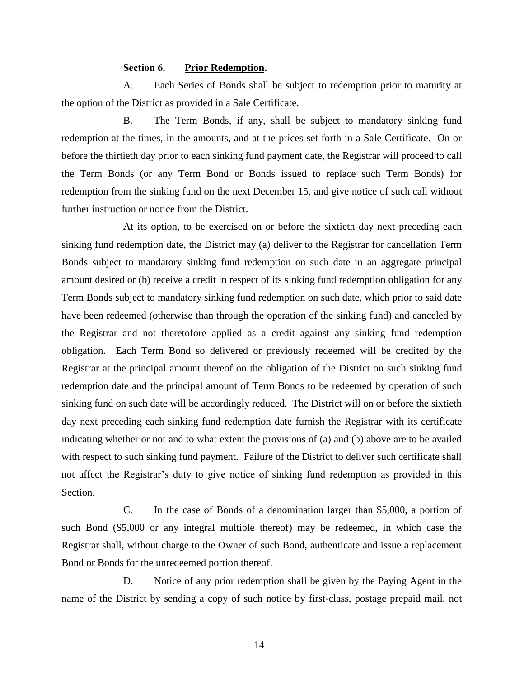#### **Section 6. Prior Redemption.**

A. Each Series of Bonds shall be subject to redemption prior to maturity at the option of the District as provided in a Sale Certificate.

B. The Term Bonds, if any, shall be subject to mandatory sinking fund redemption at the times, in the amounts, and at the prices set forth in a Sale Certificate. On or before the thirtieth day prior to each sinking fund payment date, the Registrar will proceed to call the Term Bonds (or any Term Bond or Bonds issued to replace such Term Bonds) for redemption from the sinking fund on the next December 15, and give notice of such call without further instruction or notice from the District.

At its option, to be exercised on or before the sixtieth day next preceding each sinking fund redemption date, the District may (a) deliver to the Registrar for cancellation Term Bonds subject to mandatory sinking fund redemption on such date in an aggregate principal amount desired or (b) receive a credit in respect of its sinking fund redemption obligation for any Term Bonds subject to mandatory sinking fund redemption on such date, which prior to said date have been redeemed (otherwise than through the operation of the sinking fund) and canceled by the Registrar and not theretofore applied as a credit against any sinking fund redemption obligation. Each Term Bond so delivered or previously redeemed will be credited by the Registrar at the principal amount thereof on the obligation of the District on such sinking fund redemption date and the principal amount of Term Bonds to be redeemed by operation of such sinking fund on such date will be accordingly reduced. The District will on or before the sixtieth day next preceding each sinking fund redemption date furnish the Registrar with its certificate indicating whether or not and to what extent the provisions of (a) and (b) above are to be availed with respect to such sinking fund payment. Failure of the District to deliver such certificate shall not affect the Registrar's duty to give notice of sinking fund redemption as provided in this Section.

C. In the case of Bonds of a denomination larger than \$5,000, a portion of such Bond (\$5,000 or any integral multiple thereof) may be redeemed, in which case the Registrar shall, without charge to the Owner of such Bond, authenticate and issue a replacement Bond or Bonds for the unredeemed portion thereof.

D. Notice of any prior redemption shall be given by the Paying Agent in the name of the District by sending a copy of such notice by first-class, postage prepaid mail, not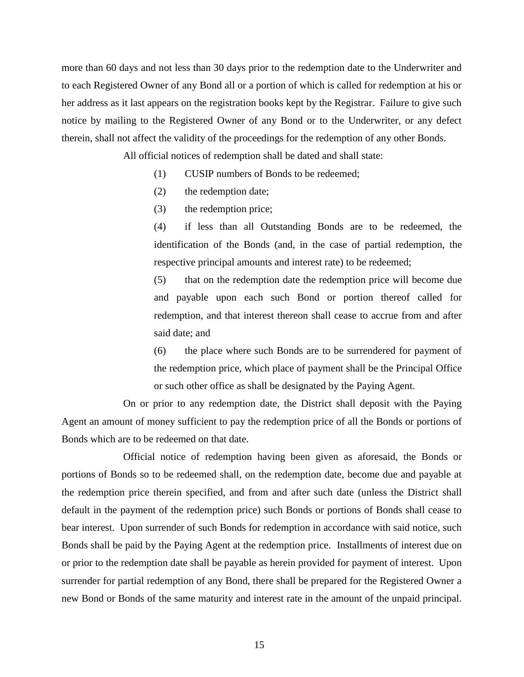more than 60 days and not less than 30 days prior to the redemption date to the Underwriter and to each Registered Owner of any Bond all or a portion of which is called for redemption at his or her address as it last appears on the registration books kept by the Registrar. Failure to give such notice by mailing to the Registered Owner of any Bond or to the Underwriter, or any defect therein, shall not affect the validity of the proceedings for the redemption of any other Bonds.

All official notices of redemption shall be dated and shall state:

- (1) CUSIP numbers of Bonds to be redeemed;
- (2) the redemption date;
- (3) the redemption price;

(4) if less than all Outstanding Bonds are to be redeemed, the identification of the Bonds (and, in the case of partial redemption, the respective principal amounts and interest rate) to be redeemed;

(5) that on the redemption date the redemption price will become due and payable upon each such Bond or portion thereof called for redemption, and that interest thereon shall cease to accrue from and after said date; and

(6) the place where such Bonds are to be surrendered for payment of the redemption price, which place of payment shall be the Principal Office or such other office as shall be designated by the Paying Agent.

On or prior to any redemption date, the District shall deposit with the Paying Agent an amount of money sufficient to pay the redemption price of all the Bonds or portions of Bonds which are to be redeemed on that date.

Official notice of redemption having been given as aforesaid, the Bonds or portions of Bonds so to be redeemed shall, on the redemption date, become due and payable at the redemption price therein specified, and from and after such date (unless the District shall default in the payment of the redemption price) such Bonds or portions of Bonds shall cease to bear interest. Upon surrender of such Bonds for redemption in accordance with said notice, such Bonds shall be paid by the Paying Agent at the redemption price. Installments of interest due on or prior to the redemption date shall be payable as herein provided for payment of interest. Upon surrender for partial redemption of any Bond, there shall be prepared for the Registered Owner a new Bond or Bonds of the same maturity and interest rate in the amount of the unpaid principal.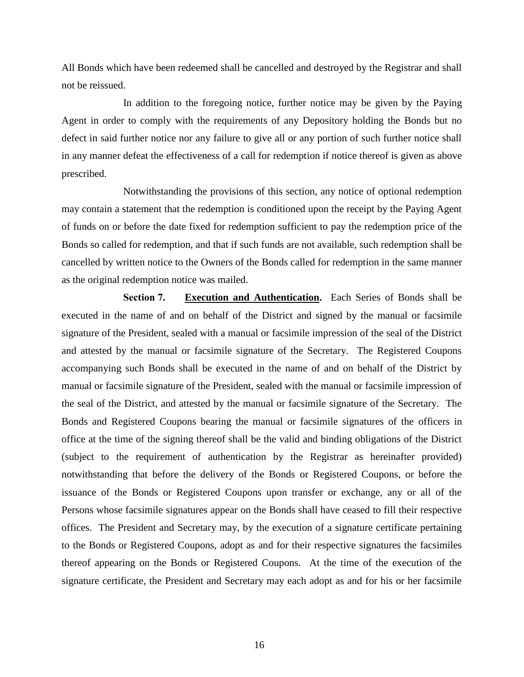All Bonds which have been redeemed shall be cancelled and destroyed by the Registrar and shall not be reissued.

In addition to the foregoing notice, further notice may be given by the Paying Agent in order to comply with the requirements of any Depository holding the Bonds but no defect in said further notice nor any failure to give all or any portion of such further notice shall in any manner defeat the effectiveness of a call for redemption if notice thereof is given as above prescribed.

Notwithstanding the provisions of this section, any notice of optional redemption may contain a statement that the redemption is conditioned upon the receipt by the Paying Agent of funds on or before the date fixed for redemption sufficient to pay the redemption price of the Bonds so called for redemption, and that if such funds are not available, such redemption shall be cancelled by written notice to the Owners of the Bonds called for redemption in the same manner as the original redemption notice was mailed.

**Section 7. Execution and Authentication.** Each Series of Bonds shall be executed in the name of and on behalf of the District and signed by the manual or facsimile signature of the President, sealed with a manual or facsimile impression of the seal of the District and attested by the manual or facsimile signature of the Secretary. The Registered Coupons accompanying such Bonds shall be executed in the name of and on behalf of the District by manual or facsimile signature of the President, sealed with the manual or facsimile impression of the seal of the District, and attested by the manual or facsimile signature of the Secretary. The Bonds and Registered Coupons bearing the manual or facsimile signatures of the officers in office at the time of the signing thereof shall be the valid and binding obligations of the District (subject to the requirement of authentication by the Registrar as hereinafter provided) notwithstanding that before the delivery of the Bonds or Registered Coupons, or before the issuance of the Bonds or Registered Coupons upon transfer or exchange, any or all of the Persons whose facsimile signatures appear on the Bonds shall have ceased to fill their respective offices. The President and Secretary may, by the execution of a signature certificate pertaining to the Bonds or Registered Coupons, adopt as and for their respective signatures the facsimiles thereof appearing on the Bonds or Registered Coupons. At the time of the execution of the signature certificate, the President and Secretary may each adopt as and for his or her facsimile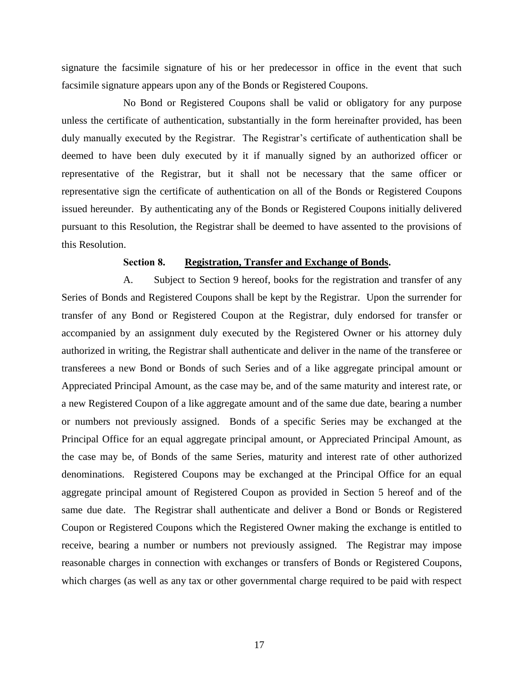signature the facsimile signature of his or her predecessor in office in the event that such facsimile signature appears upon any of the Bonds or Registered Coupons.

No Bond or Registered Coupons shall be valid or obligatory for any purpose unless the certificate of authentication, substantially in the form hereinafter provided, has been duly manually executed by the Registrar. The Registrar's certificate of authentication shall be deemed to have been duly executed by it if manually signed by an authorized officer or representative of the Registrar, but it shall not be necessary that the same officer or representative sign the certificate of authentication on all of the Bonds or Registered Coupons issued hereunder. By authenticating any of the Bonds or Registered Coupons initially delivered pursuant to this Resolution, the Registrar shall be deemed to have assented to the provisions of this Resolution.

#### **Section 8. Registration, Transfer and Exchange of Bonds.**

A. Subject to Section 9 hereof, books for the registration and transfer of any Series of Bonds and Registered Coupons shall be kept by the Registrar. Upon the surrender for transfer of any Bond or Registered Coupon at the Registrar, duly endorsed for transfer or accompanied by an assignment duly executed by the Registered Owner or his attorney duly authorized in writing, the Registrar shall authenticate and deliver in the name of the transferee or transferees a new Bond or Bonds of such Series and of a like aggregate principal amount or Appreciated Principal Amount, as the case may be, and of the same maturity and interest rate, or a new Registered Coupon of a like aggregate amount and of the same due date, bearing a number or numbers not previously assigned. Bonds of a specific Series may be exchanged at the Principal Office for an equal aggregate principal amount, or Appreciated Principal Amount, as the case may be, of Bonds of the same Series, maturity and interest rate of other authorized denominations. Registered Coupons may be exchanged at the Principal Office for an equal aggregate principal amount of Registered Coupon as provided in Section 5 hereof and of the same due date. The Registrar shall authenticate and deliver a Bond or Bonds or Registered Coupon or Registered Coupons which the Registered Owner making the exchange is entitled to receive, bearing a number or numbers not previously assigned. The Registrar may impose reasonable charges in connection with exchanges or transfers of Bonds or Registered Coupons, which charges (as well as any tax or other governmental charge required to be paid with respect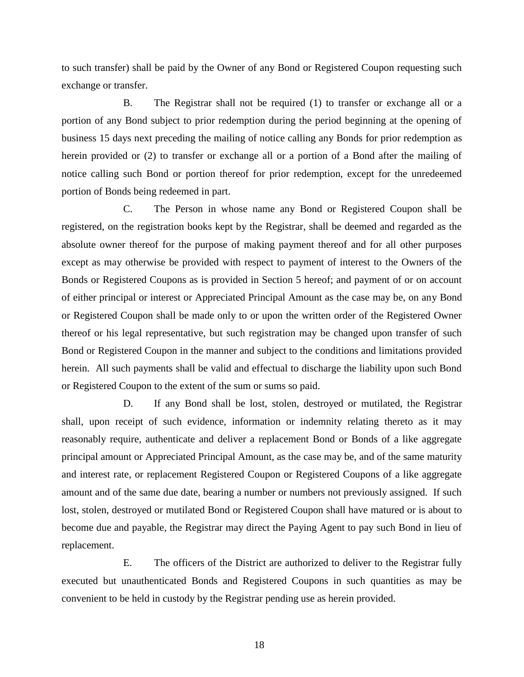to such transfer) shall be paid by the Owner of any Bond or Registered Coupon requesting such exchange or transfer.

B. The Registrar shall not be required (1) to transfer or exchange all or a portion of any Bond subject to prior redemption during the period beginning at the opening of business 15 days next preceding the mailing of notice calling any Bonds for prior redemption as herein provided or (2) to transfer or exchange all or a portion of a Bond after the mailing of notice calling such Bond or portion thereof for prior redemption, except for the unredeemed portion of Bonds being redeemed in part.

C. The Person in whose name any Bond or Registered Coupon shall be registered, on the registration books kept by the Registrar, shall be deemed and regarded as the absolute owner thereof for the purpose of making payment thereof and for all other purposes except as may otherwise be provided with respect to payment of interest to the Owners of the Bonds or Registered Coupons as is provided in Section 5 hereof; and payment of or on account of either principal or interest or Appreciated Principal Amount as the case may be, on any Bond or Registered Coupon shall be made only to or upon the written order of the Registered Owner thereof or his legal representative, but such registration may be changed upon transfer of such Bond or Registered Coupon in the manner and subject to the conditions and limitations provided herein. All such payments shall be valid and effectual to discharge the liability upon such Bond or Registered Coupon to the extent of the sum or sums so paid.

D. If any Bond shall be lost, stolen, destroyed or mutilated, the Registrar shall, upon receipt of such evidence, information or indemnity relating thereto as it may reasonably require, authenticate and deliver a replacement Bond or Bonds of a like aggregate principal amount or Appreciated Principal Amount, as the case may be, and of the same maturity and interest rate, or replacement Registered Coupon or Registered Coupons of a like aggregate amount and of the same due date, bearing a number or numbers not previously assigned. If such lost, stolen, destroyed or mutilated Bond or Registered Coupon shall have matured or is about to become due and payable, the Registrar may direct the Paying Agent to pay such Bond in lieu of replacement.

E. The officers of the District are authorized to deliver to the Registrar fully executed but unauthenticated Bonds and Registered Coupons in such quantities as may be convenient to be held in custody by the Registrar pending use as herein provided.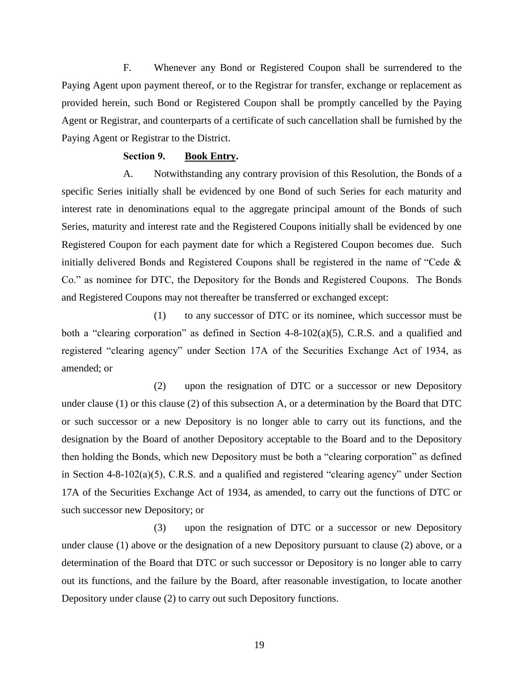F. Whenever any Bond or Registered Coupon shall be surrendered to the Paying Agent upon payment thereof, or to the Registrar for transfer, exchange or replacement as provided herein, such Bond or Registered Coupon shall be promptly cancelled by the Paying Agent or Registrar, and counterparts of a certificate of such cancellation shall be furnished by the Paying Agent or Registrar to the District.

#### **Section 9. Book Entry.**

A. Notwithstanding any contrary provision of this Resolution, the Bonds of a specific Series initially shall be evidenced by one Bond of such Series for each maturity and interest rate in denominations equal to the aggregate principal amount of the Bonds of such Series, maturity and interest rate and the Registered Coupons initially shall be evidenced by one Registered Coupon for each payment date for which a Registered Coupon becomes due. Such initially delivered Bonds and Registered Coupons shall be registered in the name of "Cede & Co." as nominee for DTC, the Depository for the Bonds and Registered Coupons. The Bonds and Registered Coupons may not thereafter be transferred or exchanged except:

(1) to any successor of DTC or its nominee, which successor must be both a "clearing corporation" as defined in Section 4-8-102(a)(5), C.R.S. and a qualified and registered "clearing agency" under Section 17A of the Securities Exchange Act of 1934, as amended; or

(2) upon the resignation of DTC or a successor or new Depository under clause (1) or this clause (2) of this subsection A, or a determination by the Board that DTC or such successor or a new Depository is no longer able to carry out its functions, and the designation by the Board of another Depository acceptable to the Board and to the Depository then holding the Bonds, which new Depository must be both a "clearing corporation" as defined in Section 4-8-102(a)(5), C.R.S. and a qualified and registered "clearing agency" under Section 17A of the Securities Exchange Act of 1934, as amended, to carry out the functions of DTC or such successor new Depository; or

(3) upon the resignation of DTC or a successor or new Depository under clause (1) above or the designation of a new Depository pursuant to clause (2) above, or a determination of the Board that DTC or such successor or Depository is no longer able to carry out its functions, and the failure by the Board, after reasonable investigation, to locate another Depository under clause (2) to carry out such Depository functions.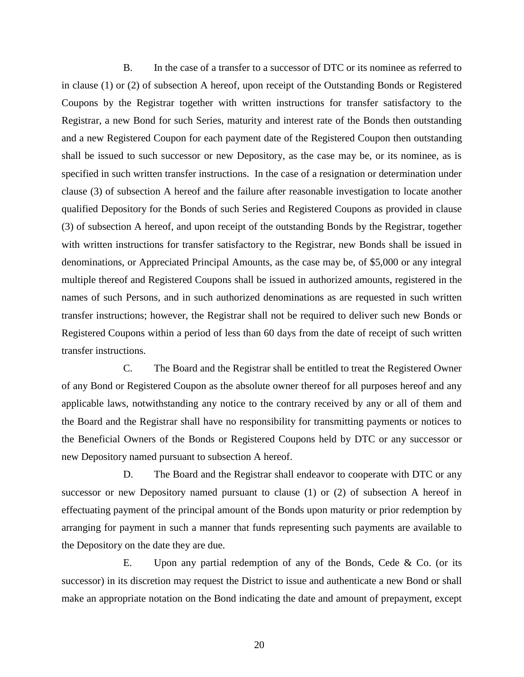B. In the case of a transfer to a successor of DTC or its nominee as referred to in clause (1) or (2) of subsection A hereof, upon receipt of the Outstanding Bonds or Registered Coupons by the Registrar together with written instructions for transfer satisfactory to the Registrar, a new Bond for such Series, maturity and interest rate of the Bonds then outstanding and a new Registered Coupon for each payment date of the Registered Coupon then outstanding shall be issued to such successor or new Depository, as the case may be, or its nominee, as is specified in such written transfer instructions. In the case of a resignation or determination under clause (3) of subsection A hereof and the failure after reasonable investigation to locate another qualified Depository for the Bonds of such Series and Registered Coupons as provided in clause (3) of subsection A hereof, and upon receipt of the outstanding Bonds by the Registrar, together with written instructions for transfer satisfactory to the Registrar, new Bonds shall be issued in denominations, or Appreciated Principal Amounts, as the case may be, of \$5,000 or any integral multiple thereof and Registered Coupons shall be issued in authorized amounts, registered in the names of such Persons, and in such authorized denominations as are requested in such written transfer instructions; however, the Registrar shall not be required to deliver such new Bonds or Registered Coupons within a period of less than 60 days from the date of receipt of such written transfer instructions.

C. The Board and the Registrar shall be entitled to treat the Registered Owner of any Bond or Registered Coupon as the absolute owner thereof for all purposes hereof and any applicable laws, notwithstanding any notice to the contrary received by any or all of them and the Board and the Registrar shall have no responsibility for transmitting payments or notices to the Beneficial Owners of the Bonds or Registered Coupons held by DTC or any successor or new Depository named pursuant to subsection A hereof.

D. The Board and the Registrar shall endeavor to cooperate with DTC or any successor or new Depository named pursuant to clause (1) or (2) of subsection A hereof in effectuating payment of the principal amount of the Bonds upon maturity or prior redemption by arranging for payment in such a manner that funds representing such payments are available to the Depository on the date they are due.

E. Upon any partial redemption of any of the Bonds, Cede  $\&$  Co. (or its successor) in its discretion may request the District to issue and authenticate a new Bond or shall make an appropriate notation on the Bond indicating the date and amount of prepayment, except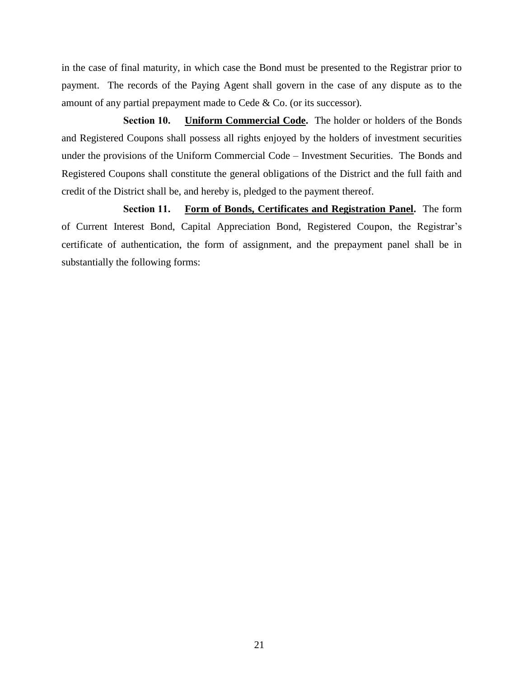in the case of final maturity, in which case the Bond must be presented to the Registrar prior to payment. The records of the Paying Agent shall govern in the case of any dispute as to the amount of any partial prepayment made to Cede & Co. (or its successor).

**Section 10. Uniform Commercial Code.** The holder or holders of the Bonds and Registered Coupons shall possess all rights enjoyed by the holders of investment securities under the provisions of the Uniform Commercial Code – Investment Securities. The Bonds and Registered Coupons shall constitute the general obligations of the District and the full faith and credit of the District shall be, and hereby is, pledged to the payment thereof.

**Section 11. Form of Bonds, Certificates and Registration Panel.** The form of Current Interest Bond, Capital Appreciation Bond, Registered Coupon, the Registrar's certificate of authentication, the form of assignment, and the prepayment panel shall be in substantially the following forms: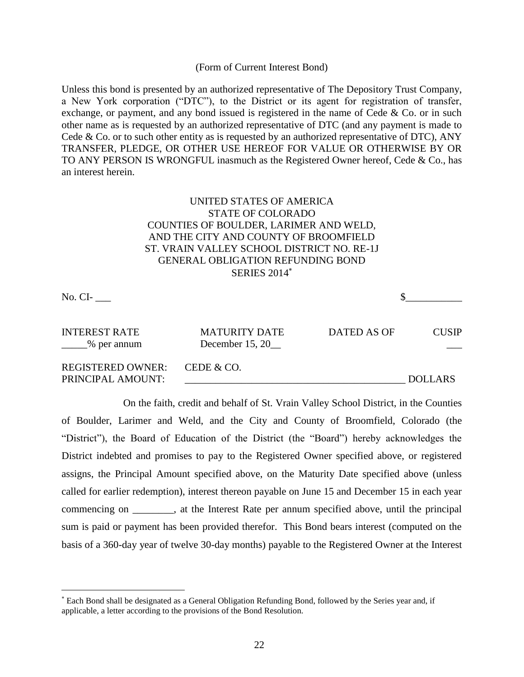#### (Form of Current Interest Bond)

Unless this bond is presented by an authorized representative of The Depository Trust Company, a New York corporation ("DTC"), to the District or its agent for registration of transfer, exchange, or payment, and any bond issued is registered in the name of Cede & Co. or in such other name as is requested by an authorized representative of DTC (and any payment is made to Cede & Co. or to such other entity as is requested by an authorized representative of DTC), ANY TRANSFER, PLEDGE, OR OTHER USE HEREOF FOR VALUE OR OTHERWISE BY OR TO ANY PERSON IS WRONGFUL inasmuch as the Registered Owner hereof, Cede & Co., has an interest herein.

# UNITED STATES OF AMERICA STATE OF COLORADO COUNTIES OF BOULDER, LARIMER AND WELD, AND THE CITY AND COUNTY OF BROOMFIELD ST. VRAIN VALLEY SCHOOL DISTRICT NO. RE-1J GENERAL OBLIGATION REFUNDING BOND **SERIES 2014**\*

No.  $CI$ -

 $\overline{a}$ 

INTEREST RATE MATURITY DATE DATED AS OF CUSIP  $\frac{1}{2}$ % per annum December 15, 20 REGISTERED OWNER: CEDE & CO. PRINCIPAL AMOUNT: THE SERVICE OF STRAIGHT AND LOT AND LOT AND LOT AND LOT AND LOT AND LOT AND LOT AND LOT AND LOT AND LOT AND LOT AND LOT AND LOT AND LOT AND LOT AND LOT AND LOT AND LOT AND LOT AND LOT AND LOT AND LOT AND

On the faith, credit and behalf of St. Vrain Valley School District, in the Counties of Boulder, Larimer and Weld, and the City and County of Broomfield, Colorado (the "District"), the Board of Education of the District (the "Board") hereby acknowledges the District indebted and promises to pay to the Registered Owner specified above, or registered assigns, the Principal Amount specified above, on the Maturity Date specified above (unless called for earlier redemption), interest thereon payable on June 15 and December 15 in each year commencing on \_\_\_\_\_\_\_\_, at the Interest Rate per annum specified above, until the principal sum is paid or payment has been provided therefor. This Bond bears interest (computed on the basis of a 360-day year of twelve 30-day months) payable to the Registered Owner at the Interest

Each Bond shall be designated as a General Obligation Refunding Bond, followed by the Series year and, if applicable, a letter according to the provisions of the Bond Resolution.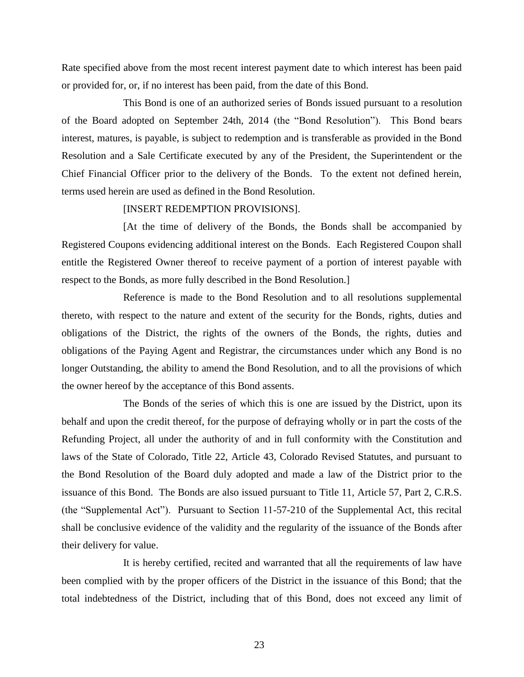Rate specified above from the most recent interest payment date to which interest has been paid or provided for, or, if no interest has been paid, from the date of this Bond.

This Bond is one of an authorized series of Bonds issued pursuant to a resolution of the Board adopted on September 24th, 2014 (the "Bond Resolution"). This Bond bears interest, matures, is payable, is subject to redemption and is transferable as provided in the Bond Resolution and a Sale Certificate executed by any of the President, the Superintendent or the Chief Financial Officer prior to the delivery of the Bonds. To the extent not defined herein, terms used herein are used as defined in the Bond Resolution.

#### [INSERT REDEMPTION PROVISIONS].

[At the time of delivery of the Bonds, the Bonds shall be accompanied by Registered Coupons evidencing additional interest on the Bonds. Each Registered Coupon shall entitle the Registered Owner thereof to receive payment of a portion of interest payable with respect to the Bonds, as more fully described in the Bond Resolution.]

Reference is made to the Bond Resolution and to all resolutions supplemental thereto, with respect to the nature and extent of the security for the Bonds, rights, duties and obligations of the District, the rights of the owners of the Bonds, the rights, duties and obligations of the Paying Agent and Registrar, the circumstances under which any Bond is no longer Outstanding, the ability to amend the Bond Resolution, and to all the provisions of which the owner hereof by the acceptance of this Bond assents.

The Bonds of the series of which this is one are issued by the District, upon its behalf and upon the credit thereof, for the purpose of defraying wholly or in part the costs of the Refunding Project, all under the authority of and in full conformity with the Constitution and laws of the State of Colorado, Title 22, Article 43, Colorado Revised Statutes, and pursuant to the Bond Resolution of the Board duly adopted and made a law of the District prior to the issuance of this Bond. The Bonds are also issued pursuant to Title 11, Article 57, Part 2, C.R.S. (the "Supplemental Act"). Pursuant to Section 11-57-210 of the Supplemental Act, this recital shall be conclusive evidence of the validity and the regularity of the issuance of the Bonds after their delivery for value.

It is hereby certified, recited and warranted that all the requirements of law have been complied with by the proper officers of the District in the issuance of this Bond; that the total indebtedness of the District, including that of this Bond, does not exceed any limit of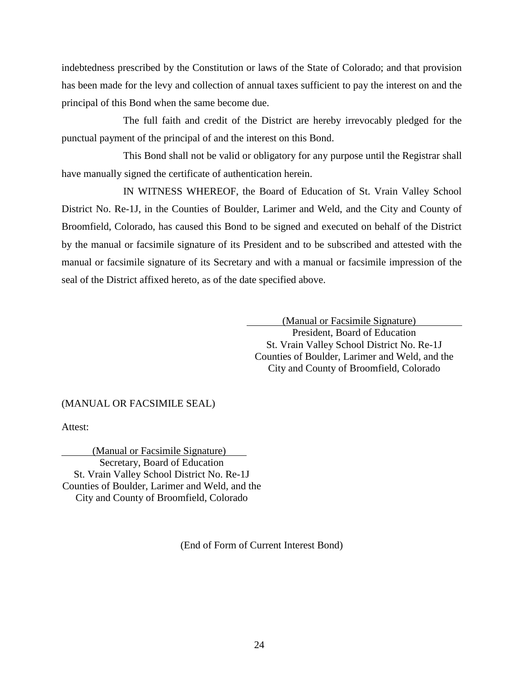indebtedness prescribed by the Constitution or laws of the State of Colorado; and that provision has been made for the levy and collection of annual taxes sufficient to pay the interest on and the principal of this Bond when the same become due.

The full faith and credit of the District are hereby irrevocably pledged for the punctual payment of the principal of and the interest on this Bond.

This Bond shall not be valid or obligatory for any purpose until the Registrar shall have manually signed the certificate of authentication herein.

IN WITNESS WHEREOF, the Board of Education of St. Vrain Valley School District No. Re-1J, in the Counties of Boulder, Larimer and Weld, and the City and County of Broomfield, Colorado, has caused this Bond to be signed and executed on behalf of the District by the manual or facsimile signature of its President and to be subscribed and attested with the manual or facsimile signature of its Secretary and with a manual or facsimile impression of the seal of the District affixed hereto, as of the date specified above.

> (Manual or Facsimile Signature) President, Board of Education St. Vrain Valley School District No. Re-1J Counties of Boulder, Larimer and Weld, and the City and County of Broomfield, Colorado

#### (MANUAL OR FACSIMILE SEAL)

Attest:

(Manual or Facsimile Signature) Secretary, Board of Education St. Vrain Valley School District No. Re-1J Counties of Boulder, Larimer and Weld, and the City and County of Broomfield, Colorado

(End of Form of Current Interest Bond)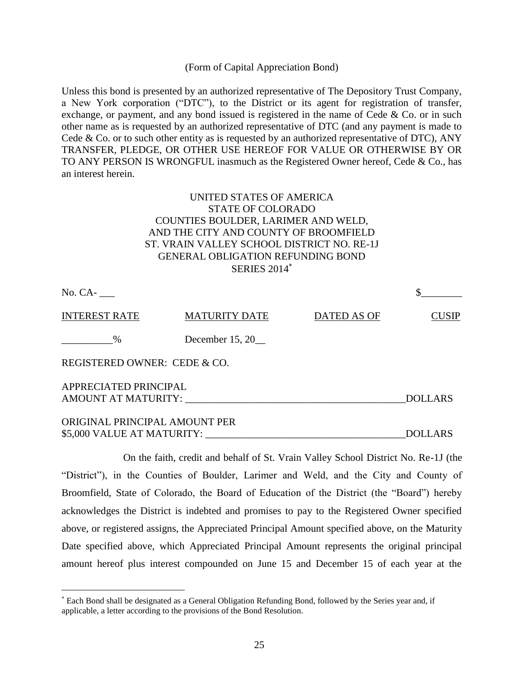#### (Form of Capital Appreciation Bond)

Unless this bond is presented by an authorized representative of The Depository Trust Company, a New York corporation ("DTC"), to the District or its agent for registration of transfer, exchange, or payment, and any bond issued is registered in the name of Cede  $\&$  Co. or in such other name as is requested by an authorized representative of DTC (and any payment is made to Cede & Co. or to such other entity as is requested by an authorized representative of DTC), ANY TRANSFER, PLEDGE, OR OTHER USE HEREOF FOR VALUE OR OTHERWISE BY OR TO ANY PERSON IS WRONGFUL inasmuch as the Registered Owner hereof, Cede & Co., has an interest herein.

# UNITED STATES OF AMERICA STATE OF COLORADO COUNTIES BOULDER, LARIMER AND WELD, AND THE CITY AND COUNTY OF BROOMFIELD ST. VRAIN VALLEY SCHOOL DISTRICT NO. RE-1J GENERAL OBLIGATION REFUNDING BOND SERIES 2014

| No. CA-                                      |                      |             |                |
|----------------------------------------------|----------------------|-------------|----------------|
| <b>INTEREST RATE</b>                         | <b>MATURITY DATE</b> | DATED AS OF | <b>CUSIP</b>   |
| $\%$                                         | December $15, 20$    |             |                |
| REGISTERED OWNER: CEDE & CO.                 |                      |             |                |
| APPRECIATED PRINCIPAL<br>AMOUNT AT MATURITY: |                      |             | <b>DOLLARS</b> |
| ORIGINAL PRINCIPAL AMOUNT PER                |                      |             |                |

\$5,000 VALUE AT MATURITY:  $\blacksquare$ 

On the faith, credit and behalf of St. Vrain Valley School District No. Re-1J (the "District"), in the Counties of Boulder, Larimer and Weld, and the City and County of Broomfield, State of Colorado, the Board of Education of the District (the "Board") hereby acknowledges the District is indebted and promises to pay to the Registered Owner specified above, or registered assigns, the Appreciated Principal Amount specified above, on the Maturity Date specified above, which Appreciated Principal Amount represents the original principal amount hereof plus interest compounded on June 15 and December 15 of each year at the

 $\overline{a}$ 

Each Bond shall be designated as a General Obligation Refunding Bond, followed by the Series year and, if applicable, a letter according to the provisions of the Bond Resolution.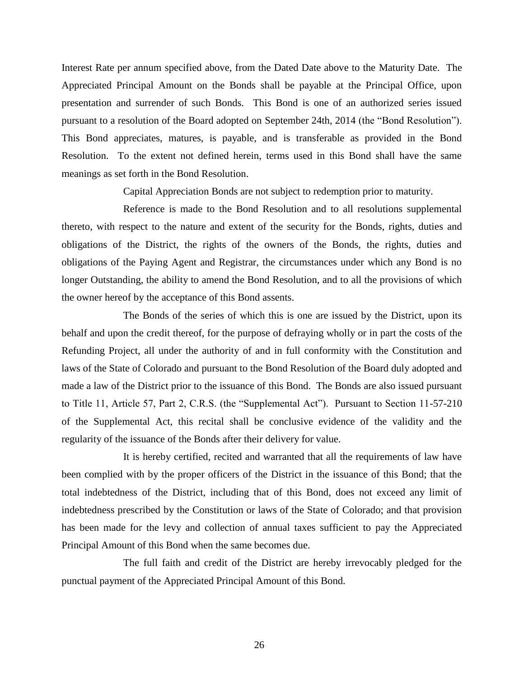Interest Rate per annum specified above, from the Dated Date above to the Maturity Date. The Appreciated Principal Amount on the Bonds shall be payable at the Principal Office, upon presentation and surrender of such Bonds. This Bond is one of an authorized series issued pursuant to a resolution of the Board adopted on September 24th, 2014 (the "Bond Resolution"). This Bond appreciates, matures, is payable, and is transferable as provided in the Bond Resolution. To the extent not defined herein, terms used in this Bond shall have the same meanings as set forth in the Bond Resolution.

Capital Appreciation Bonds are not subject to redemption prior to maturity.

Reference is made to the Bond Resolution and to all resolutions supplemental thereto, with respect to the nature and extent of the security for the Bonds, rights, duties and obligations of the District, the rights of the owners of the Bonds, the rights, duties and obligations of the Paying Agent and Registrar, the circumstances under which any Bond is no longer Outstanding, the ability to amend the Bond Resolution, and to all the provisions of which the owner hereof by the acceptance of this Bond assents.

The Bonds of the series of which this is one are issued by the District, upon its behalf and upon the credit thereof, for the purpose of defraying wholly or in part the costs of the Refunding Project, all under the authority of and in full conformity with the Constitution and laws of the State of Colorado and pursuant to the Bond Resolution of the Board duly adopted and made a law of the District prior to the issuance of this Bond. The Bonds are also issued pursuant to Title 11, Article 57, Part 2, C.R.S. (the "Supplemental Act"). Pursuant to Section 11-57-210 of the Supplemental Act, this recital shall be conclusive evidence of the validity and the regularity of the issuance of the Bonds after their delivery for value.

It is hereby certified, recited and warranted that all the requirements of law have been complied with by the proper officers of the District in the issuance of this Bond; that the total indebtedness of the District, including that of this Bond, does not exceed any limit of indebtedness prescribed by the Constitution or laws of the State of Colorado; and that provision has been made for the levy and collection of annual taxes sufficient to pay the Appreciated Principal Amount of this Bond when the same becomes due.

The full faith and credit of the District are hereby irrevocably pledged for the punctual payment of the Appreciated Principal Amount of this Bond.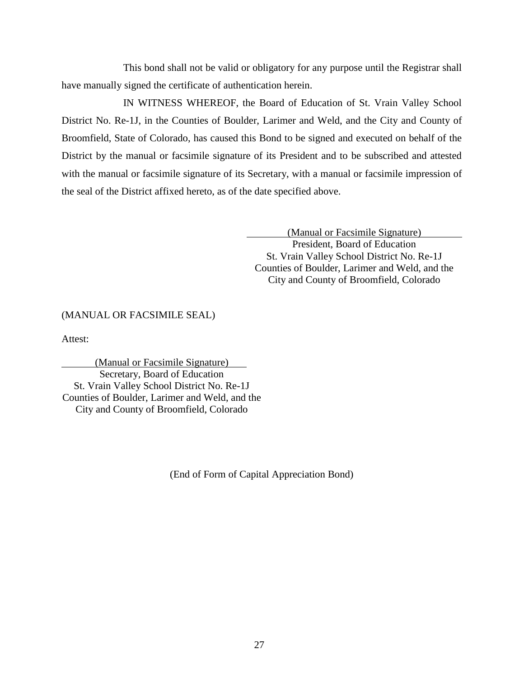This bond shall not be valid or obligatory for any purpose until the Registrar shall have manually signed the certificate of authentication herein.

IN WITNESS WHEREOF, the Board of Education of St. Vrain Valley School District No. Re-1J, in the Counties of Boulder, Larimer and Weld, and the City and County of Broomfield, State of Colorado, has caused this Bond to be signed and executed on behalf of the District by the manual or facsimile signature of its President and to be subscribed and attested with the manual or facsimile signature of its Secretary, with a manual or facsimile impression of the seal of the District affixed hereto, as of the date specified above.

> (Manual or Facsimile Signature) President, Board of Education St. Vrain Valley School District No. Re-1J Counties of Boulder, Larimer and Weld, and the City and County of Broomfield, Colorado

# (MANUAL OR FACSIMILE SEAL)

Attest:

(Manual or Facsimile Signature) Secretary, Board of Education St. Vrain Valley School District No. Re-1J Counties of Boulder, Larimer and Weld, and the City and County of Broomfield, Colorado

(End of Form of Capital Appreciation Bond)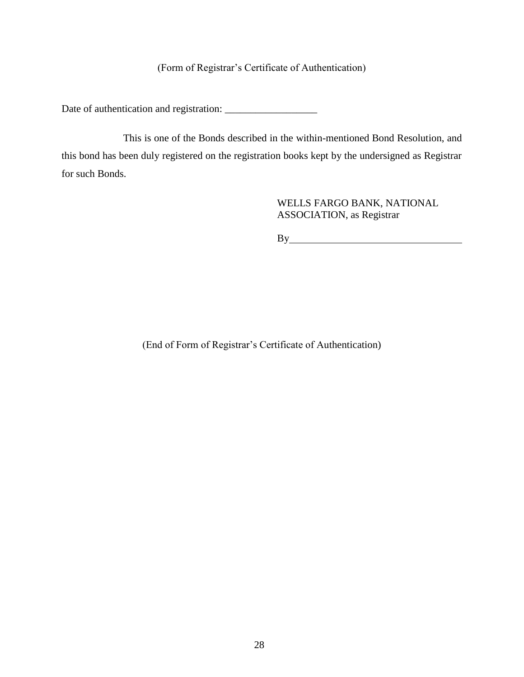# (Form of Registrar's Certificate of Authentication)

Date of authentication and registration: \_\_\_\_\_\_\_\_\_\_\_\_\_\_\_\_\_\_

This is one of the Bonds described in the within-mentioned Bond Resolution, and this bond has been duly registered on the registration books kept by the undersigned as Registrar for such Bonds.

> WELLS FARGO BANK, NATIONAL ASSOCIATION, as Registrar

By

(End of Form of Registrar's Certificate of Authentication)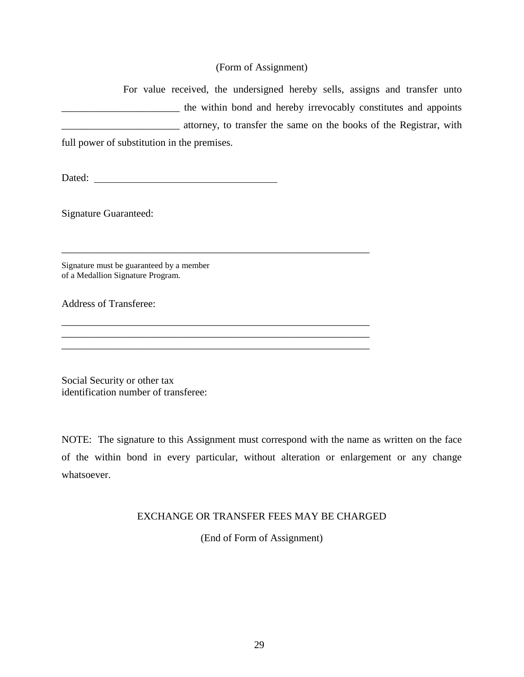# (Form of Assignment)

For value received, the undersigned hereby sells, assigns and transfer unto **EXECUTE:** the within bond and hereby irrevocably constitutes and appoints **Example 3** attorney, to transfer the same on the books of the Registrar, with

full power of substitution in the premises.

Dated:

\_\_\_\_\_\_\_\_\_\_\_\_\_\_\_\_\_\_\_\_\_\_\_\_\_\_\_\_\_\_\_\_\_\_\_\_\_\_\_\_\_\_\_\_\_\_\_\_\_\_\_\_\_\_\_\_\_\_\_\_

\_\_\_\_\_\_\_\_\_\_\_\_\_\_\_\_\_\_\_\_\_\_\_\_\_\_\_\_\_\_\_\_\_\_\_\_\_\_\_\_\_\_\_\_\_\_\_\_\_\_\_\_\_\_\_\_\_\_\_\_

 $\mathcal{L}_\text{max} = \mathcal{L}_\text{max} = \mathcal{L}_\text{max} = \mathcal{L}_\text{max} = \mathcal{L}_\text{max} = \mathcal{L}_\text{max} = \mathcal{L}_\text{max} = \mathcal{L}_\text{max} = \mathcal{L}_\text{max} = \mathcal{L}_\text{max} = \mathcal{L}_\text{max} = \mathcal{L}_\text{max} = \mathcal{L}_\text{max} = \mathcal{L}_\text{max} = \mathcal{L}_\text{max} = \mathcal{L}_\text{max} = \mathcal{L}_\text{max} = \mathcal{L}_\text{max} = \mathcal{$ 

Signature Guaranteed:

Signature must be guaranteed by a member of a Medallion Signature Program.

Address of Transferee:

Social Security or other tax identification number of transferee:

NOTE: The signature to this Assignment must correspond with the name as written on the face of the within bond in every particular, without alteration or enlargement or any change whatsoever.

# EXCHANGE OR TRANSFER FEES MAY BE CHARGED

(End of Form of Assignment)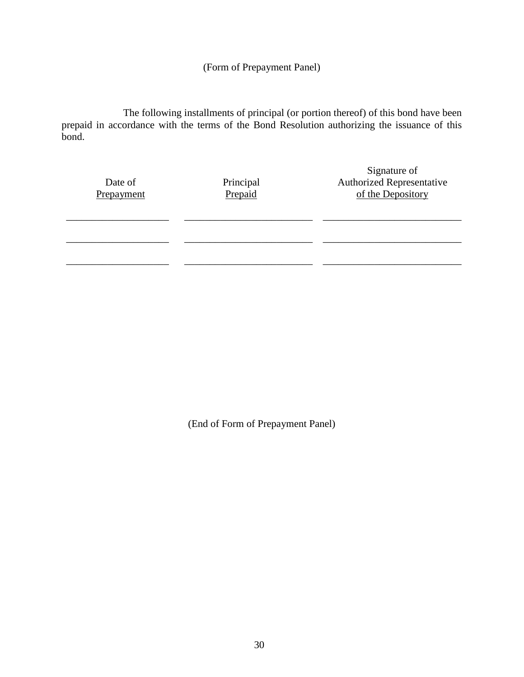(Form of Prepayment Panel)

The following installments of principal (or portion thereof) of this bond have been prepaid in accordance with the terms of the Bond Resolution authorizing the issuance of this bond.

| Date of<br>Prepayment | Principal<br>Prepaid | Signature of<br><b>Authorized Representative</b><br>of the Depository |
|-----------------------|----------------------|-----------------------------------------------------------------------|
|                       |                      |                                                                       |
|                       |                      |                                                                       |

(End of Form of Prepayment Panel)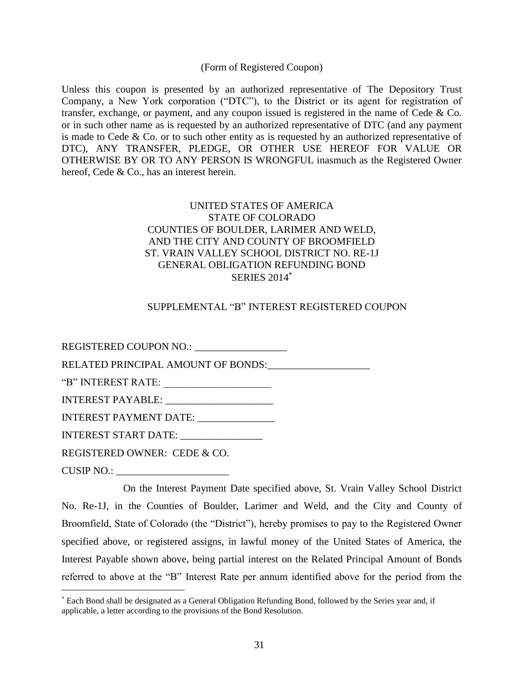(Form of Registered Coupon)

Unless this coupon is presented by an authorized representative of The Depository Trust Company, a New York corporation ("DTC"), to the District or its agent for registration of transfer, exchange, or payment, and any coupon issued is registered in the name of Cede & Co. or in such other name as is requested by an authorized representative of DTC (and any payment is made to Cede & Co. or to such other entity as is requested by an authorized representative of DTC), ANY TRANSFER, PLEDGE, OR OTHER USE HEREOF FOR VALUE OR OTHERWISE BY OR TO ANY PERSON IS WRONGFUL inasmuch as the Registered Owner hereof, Cede & Co., has an interest herein.

# UNITED STATES OF AMERICA STATE OF COLORADO COUNTIES OF BOULDER, LARIMER AND WELD, AND THE CITY AND COUNTY OF BROOMFIELD ST. VRAIN VALLEY SCHOOL DISTRICT NO. RE-1J GENERAL OBLIGATION REFUNDING BOND SERIES 2014

# SUPPLEMENTAL "B" INTEREST REGISTERED COUPON

REGISTERED COUPON NO.: \_\_\_\_\_\_\_\_\_\_\_\_\_\_\_\_\_\_ RELATED PRINCIPAL AMOUNT OF BONDS: "B" INTEREST RATE: \_\_\_\_\_\_\_\_\_\_\_\_\_\_\_\_\_\_\_\_\_ INTEREST PAYABLE: INTEREST PAYMENT DATE: \_\_\_\_\_\_\_\_\_\_\_\_\_\_\_\_ INTEREST START DATE: \_\_\_\_\_\_\_\_\_\_\_\_\_\_\_\_ REGISTERED OWNER: CEDE & CO. CUSIP NO.:

 $\overline{a}$ 

On the Interest Payment Date specified above, St. Vrain Valley School District No. Re-1J, in the Counties of Boulder, Larimer and Weld, and the City and County of Broomfield, State of Colorado (the "District"), hereby promises to pay to the Registered Owner specified above, or registered assigns, in lawful money of the United States of America, the Interest Payable shown above, being partial interest on the Related Principal Amount of Bonds referred to above at the "B" Interest Rate per annum identified above for the period from the

Each Bond shall be designated as a General Obligation Refunding Bond, followed by the Series year and, if applicable, a letter according to the provisions of the Bond Resolution.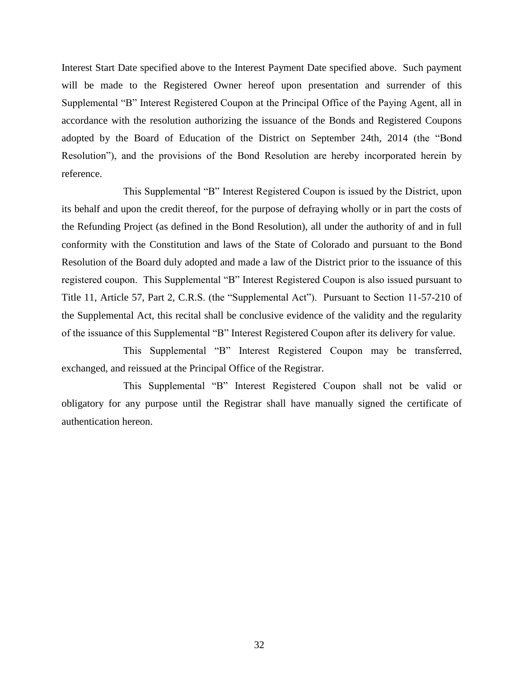Interest Start Date specified above to the Interest Payment Date specified above. Such payment will be made to the Registered Owner hereof upon presentation and surrender of this Supplemental "B" Interest Registered Coupon at the Principal Office of the Paying Agent, all in accordance with the resolution authorizing the issuance of the Bonds and Registered Coupons adopted by the Board of Education of the District on September 24th, 2014 (the "Bond Resolution"), and the provisions of the Bond Resolution are hereby incorporated herein by reference.

This Supplemental "B" Interest Registered Coupon is issued by the District, upon its behalf and upon the credit thereof, for the purpose of defraying wholly or in part the costs of the Refunding Project (as defined in the Bond Resolution), all under the authority of and in full conformity with the Constitution and laws of the State of Colorado and pursuant to the Bond Resolution of the Board duly adopted and made a law of the District prior to the issuance of this registered coupon. This Supplemental "B" Interest Registered Coupon is also issued pursuant to Title 11, Article 57, Part 2, C.R.S. (the "Supplemental Act"). Pursuant to Section 11-57-210 of the Supplemental Act, this recital shall be conclusive evidence of the validity and the regularity of the issuance of this Supplemental "B" Interest Registered Coupon after its delivery for value.

This Supplemental "B" Interest Registered Coupon may be transferred, exchanged, and reissued at the Principal Office of the Registrar.

This Supplemental "B" Interest Registered Coupon shall not be valid or obligatory for any purpose until the Registrar shall have manually signed the certificate of authentication hereon.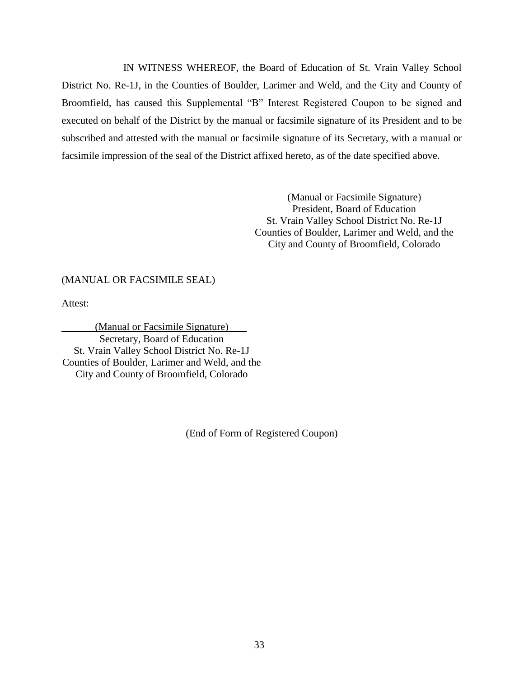IN WITNESS WHEREOF, the Board of Education of St. Vrain Valley School District No. Re-1J, in the Counties of Boulder, Larimer and Weld, and the City and County of Broomfield, has caused this Supplemental "B" Interest Registered Coupon to be signed and executed on behalf of the District by the manual or facsimile signature of its President and to be subscribed and attested with the manual or facsimile signature of its Secretary, with a manual or facsimile impression of the seal of the District affixed hereto, as of the date specified above.

> (Manual or Facsimile Signature) President, Board of Education St. Vrain Valley School District No. Re-1J Counties of Boulder, Larimer and Weld, and the City and County of Broomfield, Colorado

#### (MANUAL OR FACSIMILE SEAL)

Attest:

(Manual or Facsimile Signature) Secretary, Board of Education St. Vrain Valley School District No. Re-1J Counties of Boulder, Larimer and Weld, and the City and County of Broomfield, Colorado

(End of Form of Registered Coupon)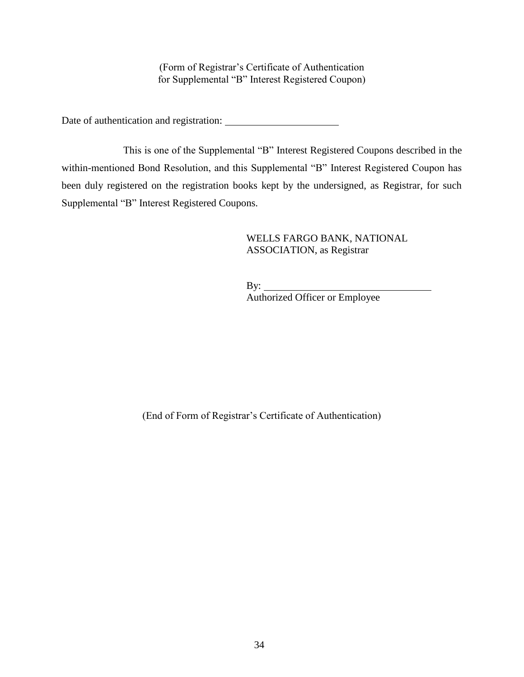(Form of Registrar's Certificate of Authentication for Supplemental "B" Interest Registered Coupon)

Date of authentication and registration:

This is one of the Supplemental "B" Interest Registered Coupons described in the within-mentioned Bond Resolution, and this Supplemental "B" Interest Registered Coupon has been duly registered on the registration books kept by the undersigned, as Registrar, for such Supplemental "B" Interest Registered Coupons.

# WELLS FARGO BANK, NATIONAL ASSOCIATION, as Registrar

By:  $\overline{\phantom{0}}$ Authorized Officer or Employee

(End of Form of Registrar's Certificate of Authentication)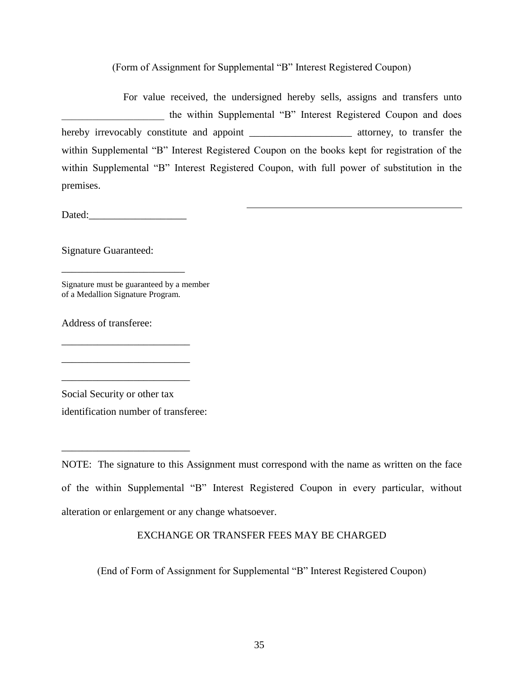(Form of Assignment for Supplemental "B" Interest Registered Coupon)

For value received, the undersigned hereby sells, assigns and transfers unto the within Supplemental "B" Interest Registered Coupon and does hereby irrevocably constitute and appoint \_\_\_\_\_\_\_\_\_\_\_\_\_\_\_\_\_\_\_\_\_\_ attorney, to transfer the within Supplemental "B" Interest Registered Coupon on the books kept for registration of the within Supplemental "B" Interest Registered Coupon, with full power of substitution in the premises.

Dated:

\_\_\_\_\_\_\_\_\_\_\_\_\_\_\_\_\_\_\_\_\_\_\_\_

\_\_\_\_\_\_\_\_\_\_\_\_\_\_\_\_\_\_\_\_\_\_\_\_\_

\_\_\_\_\_\_\_\_\_\_\_\_\_\_\_\_\_\_\_\_\_\_\_\_\_

\_\_\_\_\_\_\_\_\_\_\_\_\_\_\_\_\_\_\_\_\_\_\_\_\_

\_\_\_\_\_\_\_\_\_\_\_\_\_\_\_\_\_\_\_\_\_\_\_\_\_

Signature Guaranteed:

Signature must be guaranteed by a member of a Medallion Signature Program.

Address of transferee:

Social Security or other tax identification number of transferee:

NOTE: The signature to this Assignment must correspond with the name as written on the face of the within Supplemental "B" Interest Registered Coupon in every particular, without alteration or enlargement or any change whatsoever.

# EXCHANGE OR TRANSFER FEES MAY BE CHARGED

(End of Form of Assignment for Supplemental "B" Interest Registered Coupon)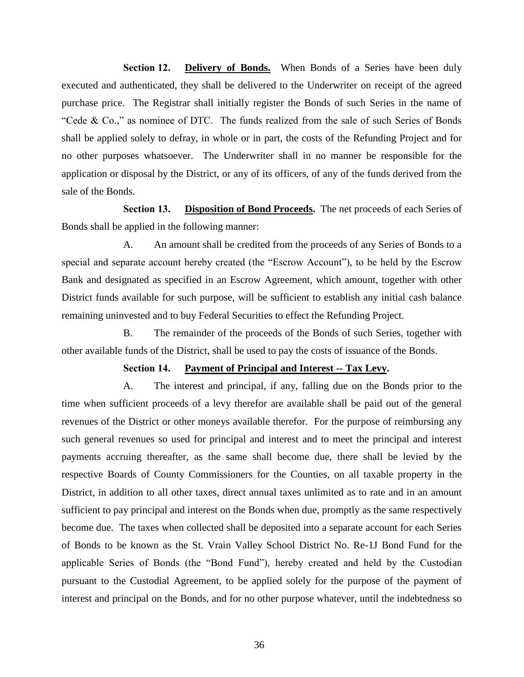Section 12. **Delivery of Bonds.** When Bonds of a Series have been duly executed and authenticated, they shall be delivered to the Underwriter on receipt of the agreed purchase price. The Registrar shall initially register the Bonds of such Series in the name of "Cede & Co.," as nominee of DTC. The funds realized from the sale of such Series of Bonds shall be applied solely to defray, in whole or in part, the costs of the Refunding Project and for no other purposes whatsoever. The Underwriter shall in no manner be responsible for the application or disposal by the District, or any of its officers, of any of the funds derived from the sale of the Bonds.

**Section 13. Disposition of Bond Proceeds.** The net proceeds of each Series of Bonds shall be applied in the following manner:

A. An amount shall be credited from the proceeds of any Series of Bonds to a special and separate account hereby created (the "Escrow Account"), to be held by the Escrow Bank and designated as specified in an Escrow Agreement, which amount, together with other District funds available for such purpose, will be sufficient to establish any initial cash balance remaining uninvested and to buy Federal Securities to effect the Refunding Project.

B. The remainder of the proceeds of the Bonds of such Series, together with other available funds of the District, shall be used to pay the costs of issuance of the Bonds.

#### **Section 14. Payment of Principal and Interest -- Tax Levy.**

A. The interest and principal, if any, falling due on the Bonds prior to the time when sufficient proceeds of a levy therefor are available shall be paid out of the general revenues of the District or other moneys available therefor. For the purpose of reimbursing any such general revenues so used for principal and interest and to meet the principal and interest payments accruing thereafter, as the same shall become due, there shall be levied by the respective Boards of County Commissioners for the Counties, on all taxable property in the District, in addition to all other taxes, direct annual taxes unlimited as to rate and in an amount sufficient to pay principal and interest on the Bonds when due, promptly as the same respectively become due. The taxes when collected shall be deposited into a separate account for each Series of Bonds to be known as the St. Vrain Valley School District No. Re-1J Bond Fund for the applicable Series of Bonds (the "Bond Fund"), hereby created and held by the Custodian pursuant to the Custodial Agreement, to be applied solely for the purpose of the payment of interest and principal on the Bonds, and for no other purpose whatever, until the indebtedness so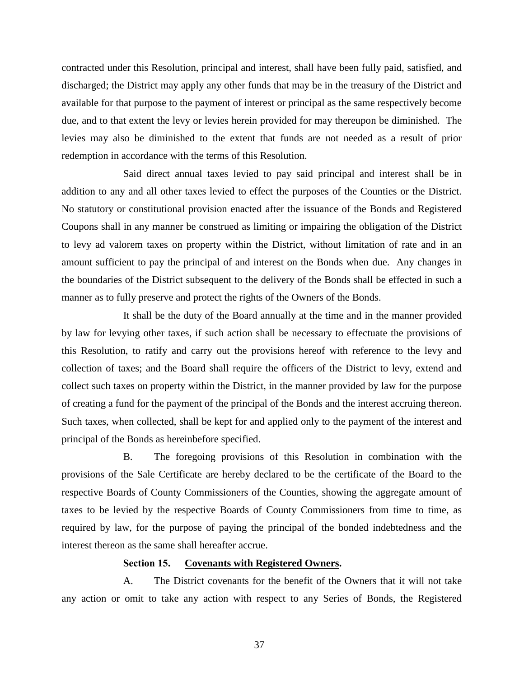contracted under this Resolution, principal and interest, shall have been fully paid, satisfied, and discharged; the District may apply any other funds that may be in the treasury of the District and available for that purpose to the payment of interest or principal as the same respectively become due, and to that extent the levy or levies herein provided for may thereupon be diminished. The levies may also be diminished to the extent that funds are not needed as a result of prior redemption in accordance with the terms of this Resolution.

Said direct annual taxes levied to pay said principal and interest shall be in addition to any and all other taxes levied to effect the purposes of the Counties or the District. No statutory or constitutional provision enacted after the issuance of the Bonds and Registered Coupons shall in any manner be construed as limiting or impairing the obligation of the District to levy ad valorem taxes on property within the District, without limitation of rate and in an amount sufficient to pay the principal of and interest on the Bonds when due. Any changes in the boundaries of the District subsequent to the delivery of the Bonds shall be effected in such a manner as to fully preserve and protect the rights of the Owners of the Bonds.

It shall be the duty of the Board annually at the time and in the manner provided by law for levying other taxes, if such action shall be necessary to effectuate the provisions of this Resolution, to ratify and carry out the provisions hereof with reference to the levy and collection of taxes; and the Board shall require the officers of the District to levy, extend and collect such taxes on property within the District, in the manner provided by law for the purpose of creating a fund for the payment of the principal of the Bonds and the interest accruing thereon. Such taxes, when collected, shall be kept for and applied only to the payment of the interest and principal of the Bonds as hereinbefore specified.

B. The foregoing provisions of this Resolution in combination with the provisions of the Sale Certificate are hereby declared to be the certificate of the Board to the respective Boards of County Commissioners of the Counties, showing the aggregate amount of taxes to be levied by the respective Boards of County Commissioners from time to time, as required by law, for the purpose of paying the principal of the bonded indebtedness and the interest thereon as the same shall hereafter accrue.

### **Section 15. Covenants with Registered Owners.**

A. The District covenants for the benefit of the Owners that it will not take any action or omit to take any action with respect to any Series of Bonds, the Registered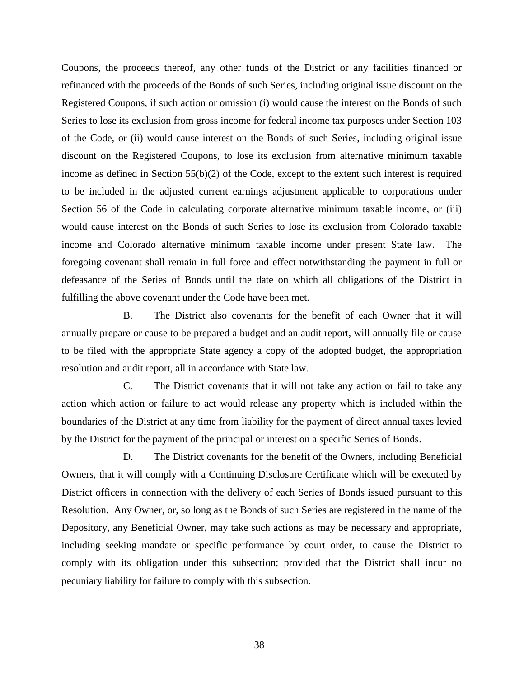Coupons, the proceeds thereof, any other funds of the District or any facilities financed or refinanced with the proceeds of the Bonds of such Series, including original issue discount on the Registered Coupons, if such action or omission (i) would cause the interest on the Bonds of such Series to lose its exclusion from gross income for federal income tax purposes under Section 103 of the Code, or (ii) would cause interest on the Bonds of such Series, including original issue discount on the Registered Coupons, to lose its exclusion from alternative minimum taxable income as defined in Section 55(b)(2) of the Code, except to the extent such interest is required to be included in the adjusted current earnings adjustment applicable to corporations under Section 56 of the Code in calculating corporate alternative minimum taxable income, or (iii) would cause interest on the Bonds of such Series to lose its exclusion from Colorado taxable income and Colorado alternative minimum taxable income under present State law. The foregoing covenant shall remain in full force and effect notwithstanding the payment in full or defeasance of the Series of Bonds until the date on which all obligations of the District in fulfilling the above covenant under the Code have been met.

B. The District also covenants for the benefit of each Owner that it will annually prepare or cause to be prepared a budget and an audit report, will annually file or cause to be filed with the appropriate State agency a copy of the adopted budget, the appropriation resolution and audit report, all in accordance with State law.

C. The District covenants that it will not take any action or fail to take any action which action or failure to act would release any property which is included within the boundaries of the District at any time from liability for the payment of direct annual taxes levied by the District for the payment of the principal or interest on a specific Series of Bonds.

D. The District covenants for the benefit of the Owners, including Beneficial Owners, that it will comply with a Continuing Disclosure Certificate which will be executed by District officers in connection with the delivery of each Series of Bonds issued pursuant to this Resolution. Any Owner, or, so long as the Bonds of such Series are registered in the name of the Depository, any Beneficial Owner, may take such actions as may be necessary and appropriate, including seeking mandate or specific performance by court order, to cause the District to comply with its obligation under this subsection; provided that the District shall incur no pecuniary liability for failure to comply with this subsection.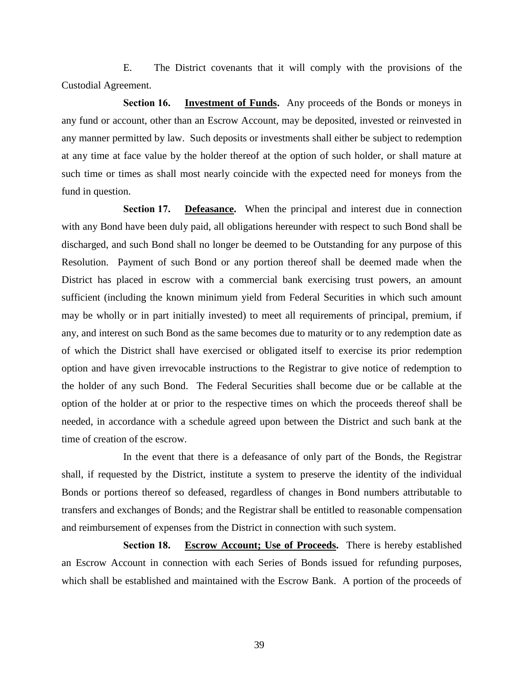E. The District covenants that it will comply with the provisions of the Custodial Agreement.

**Section 16. Investment of Funds.** Any proceeds of the Bonds or moneys in any fund or account, other than an Escrow Account, may be deposited, invested or reinvested in any manner permitted by law. Such deposits or investments shall either be subject to redemption at any time at face value by the holder thereof at the option of such holder, or shall mature at such time or times as shall most nearly coincide with the expected need for moneys from the fund in question.

**Section 17. Defeasance.** When the principal and interest due in connection with any Bond have been duly paid, all obligations hereunder with respect to such Bond shall be discharged, and such Bond shall no longer be deemed to be Outstanding for any purpose of this Resolution. Payment of such Bond or any portion thereof shall be deemed made when the District has placed in escrow with a commercial bank exercising trust powers, an amount sufficient (including the known minimum yield from Federal Securities in which such amount may be wholly or in part initially invested) to meet all requirements of principal, premium, if any, and interest on such Bond as the same becomes due to maturity or to any redemption date as of which the District shall have exercised or obligated itself to exercise its prior redemption option and have given irrevocable instructions to the Registrar to give notice of redemption to the holder of any such Bond. The Federal Securities shall become due or be callable at the option of the holder at or prior to the respective times on which the proceeds thereof shall be needed, in accordance with a schedule agreed upon between the District and such bank at the time of creation of the escrow.

In the event that there is a defeasance of only part of the Bonds, the Registrar shall, if requested by the District, institute a system to preserve the identity of the individual Bonds or portions thereof so defeased, regardless of changes in Bond numbers attributable to transfers and exchanges of Bonds; and the Registrar shall be entitled to reasonable compensation and reimbursement of expenses from the District in connection with such system.

**Section 18. Escrow Account; Use of Proceeds.** There is hereby established an Escrow Account in connection with each Series of Bonds issued for refunding purposes, which shall be established and maintained with the Escrow Bank. A portion of the proceeds of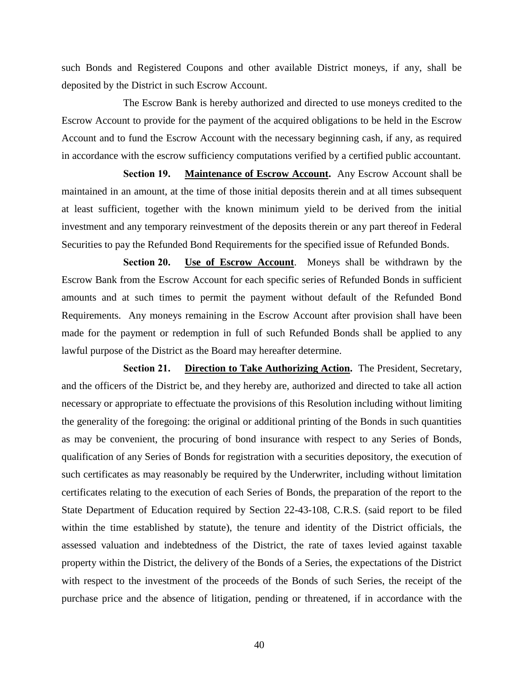such Bonds and Registered Coupons and other available District moneys, if any, shall be deposited by the District in such Escrow Account.

The Escrow Bank is hereby authorized and directed to use moneys credited to the Escrow Account to provide for the payment of the acquired obligations to be held in the Escrow Account and to fund the Escrow Account with the necessary beginning cash, if any, as required in accordance with the escrow sufficiency computations verified by a certified public accountant.

**Section 19. Maintenance of Escrow Account.** Any Escrow Account shall be maintained in an amount, at the time of those initial deposits therein and at all times subsequent at least sufficient, together with the known minimum yield to be derived from the initial investment and any temporary reinvestment of the deposits therein or any part thereof in Federal Securities to pay the Refunded Bond Requirements for the specified issue of Refunded Bonds.

**Section 20. Use of Escrow Account**. Moneys shall be withdrawn by the Escrow Bank from the Escrow Account for each specific series of Refunded Bonds in sufficient amounts and at such times to permit the payment without default of the Refunded Bond Requirements. Any moneys remaining in the Escrow Account after provision shall have been made for the payment or redemption in full of such Refunded Bonds shall be applied to any lawful purpose of the District as the Board may hereafter determine.

**Section 21. Direction to Take Authorizing Action.** The President, Secretary, and the officers of the District be, and they hereby are, authorized and directed to take all action necessary or appropriate to effectuate the provisions of this Resolution including without limiting the generality of the foregoing: the original or additional printing of the Bonds in such quantities as may be convenient, the procuring of bond insurance with respect to any Series of Bonds, qualification of any Series of Bonds for registration with a securities depository, the execution of such certificates as may reasonably be required by the Underwriter, including without limitation certificates relating to the execution of each Series of Bonds, the preparation of the report to the State Department of Education required by Section 22-43-108, C.R.S. (said report to be filed within the time established by statute), the tenure and identity of the District officials, the assessed valuation and indebtedness of the District, the rate of taxes levied against taxable property within the District, the delivery of the Bonds of a Series, the expectations of the District with respect to the investment of the proceeds of the Bonds of such Series, the receipt of the purchase price and the absence of litigation, pending or threatened, if in accordance with the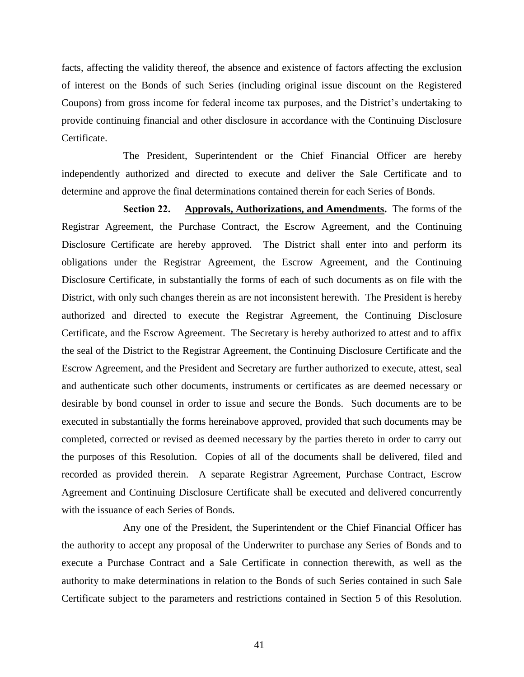facts, affecting the validity thereof, the absence and existence of factors affecting the exclusion of interest on the Bonds of such Series (including original issue discount on the Registered Coupons) from gross income for federal income tax purposes, and the District's undertaking to provide continuing financial and other disclosure in accordance with the Continuing Disclosure Certificate.

The President, Superintendent or the Chief Financial Officer are hereby independently authorized and directed to execute and deliver the Sale Certificate and to determine and approve the final determinations contained therein for each Series of Bonds.

**Section 22. Approvals, Authorizations, and Amendments.** The forms of the Registrar Agreement, the Purchase Contract, the Escrow Agreement, and the Continuing Disclosure Certificate are hereby approved. The District shall enter into and perform its obligations under the Registrar Agreement, the Escrow Agreement, and the Continuing Disclosure Certificate, in substantially the forms of each of such documents as on file with the District, with only such changes therein as are not inconsistent herewith. The President is hereby authorized and directed to execute the Registrar Agreement, the Continuing Disclosure Certificate, and the Escrow Agreement. The Secretary is hereby authorized to attest and to affix the seal of the District to the Registrar Agreement, the Continuing Disclosure Certificate and the Escrow Agreement, and the President and Secretary are further authorized to execute, attest, seal and authenticate such other documents, instruments or certificates as are deemed necessary or desirable by bond counsel in order to issue and secure the Bonds. Such documents are to be executed in substantially the forms hereinabove approved, provided that such documents may be completed, corrected or revised as deemed necessary by the parties thereto in order to carry out the purposes of this Resolution. Copies of all of the documents shall be delivered, filed and recorded as provided therein. A separate Registrar Agreement, Purchase Contract, Escrow Agreement and Continuing Disclosure Certificate shall be executed and delivered concurrently with the issuance of each Series of Bonds.

Any one of the President, the Superintendent or the Chief Financial Officer has the authority to accept any proposal of the Underwriter to purchase any Series of Bonds and to execute a Purchase Contract and a Sale Certificate in connection therewith, as well as the authority to make determinations in relation to the Bonds of such Series contained in such Sale Certificate subject to the parameters and restrictions contained in Section 5 of this Resolution.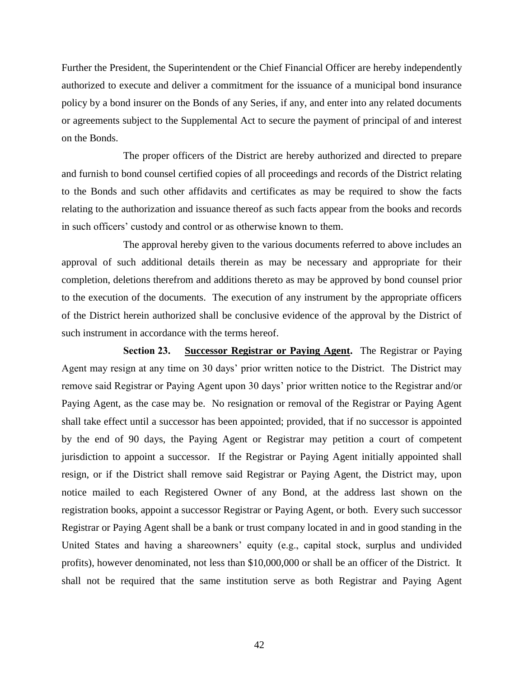Further the President, the Superintendent or the Chief Financial Officer are hereby independently authorized to execute and deliver a commitment for the issuance of a municipal bond insurance policy by a bond insurer on the Bonds of any Series, if any, and enter into any related documents or agreements subject to the Supplemental Act to secure the payment of principal of and interest on the Bonds.

The proper officers of the District are hereby authorized and directed to prepare and furnish to bond counsel certified copies of all proceedings and records of the District relating to the Bonds and such other affidavits and certificates as may be required to show the facts relating to the authorization and issuance thereof as such facts appear from the books and records in such officers' custody and control or as otherwise known to them.

The approval hereby given to the various documents referred to above includes an approval of such additional details therein as may be necessary and appropriate for their completion, deletions therefrom and additions thereto as may be approved by bond counsel prior to the execution of the documents. The execution of any instrument by the appropriate officers of the District herein authorized shall be conclusive evidence of the approval by the District of such instrument in accordance with the terms hereof.

**Section 23. Successor Registrar or Paying Agent.** The Registrar or Paying Agent may resign at any time on 30 days' prior written notice to the District. The District may remove said Registrar or Paying Agent upon 30 days' prior written notice to the Registrar and/or Paying Agent, as the case may be. No resignation or removal of the Registrar or Paying Agent shall take effect until a successor has been appointed; provided, that if no successor is appointed by the end of 90 days, the Paying Agent or Registrar may petition a court of competent jurisdiction to appoint a successor. If the Registrar or Paying Agent initially appointed shall resign, or if the District shall remove said Registrar or Paying Agent, the District may, upon notice mailed to each Registered Owner of any Bond, at the address last shown on the registration books, appoint a successor Registrar or Paying Agent, or both. Every such successor Registrar or Paying Agent shall be a bank or trust company located in and in good standing in the United States and having a shareowners' equity (e.g., capital stock, surplus and undivided profits), however denominated, not less than \$10,000,000 or shall be an officer of the District. It shall not be required that the same institution serve as both Registrar and Paying Agent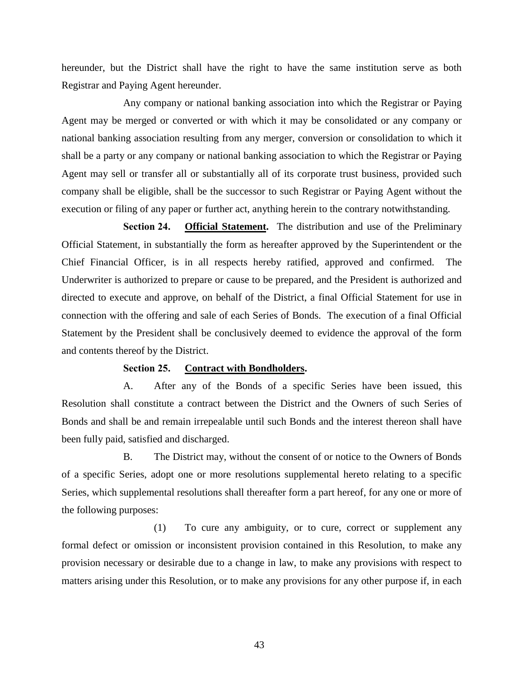hereunder, but the District shall have the right to have the same institution serve as both Registrar and Paying Agent hereunder.

Any company or national banking association into which the Registrar or Paying Agent may be merged or converted or with which it may be consolidated or any company or national banking association resulting from any merger, conversion or consolidation to which it shall be a party or any company or national banking association to which the Registrar or Paying Agent may sell or transfer all or substantially all of its corporate trust business, provided such company shall be eligible, shall be the successor to such Registrar or Paying Agent without the execution or filing of any paper or further act, anything herein to the contrary notwithstanding.

**Section 24. Official Statement.** The distribution and use of the Preliminary Official Statement, in substantially the form as hereafter approved by the Superintendent or the Chief Financial Officer, is in all respects hereby ratified, approved and confirmed. The Underwriter is authorized to prepare or cause to be prepared, and the President is authorized and directed to execute and approve, on behalf of the District, a final Official Statement for use in connection with the offering and sale of each Series of Bonds. The execution of a final Official Statement by the President shall be conclusively deemed to evidence the approval of the form and contents thereof by the District.

#### **Section 25. Contract with Bondholders.**

A. After any of the Bonds of a specific Series have been issued, this Resolution shall constitute a contract between the District and the Owners of such Series of Bonds and shall be and remain irrepealable until such Bonds and the interest thereon shall have been fully paid, satisfied and discharged.

B. The District may, without the consent of or notice to the Owners of Bonds of a specific Series, adopt one or more resolutions supplemental hereto relating to a specific Series, which supplemental resolutions shall thereafter form a part hereof, for any one or more of the following purposes:

(1) To cure any ambiguity, or to cure, correct or supplement any formal defect or omission or inconsistent provision contained in this Resolution, to make any provision necessary or desirable due to a change in law, to make any provisions with respect to matters arising under this Resolution, or to make any provisions for any other purpose if, in each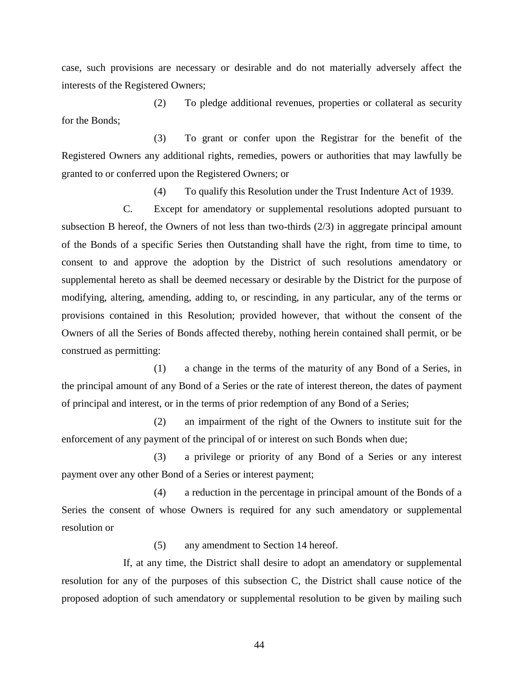case, such provisions are necessary or desirable and do not materially adversely affect the interests of the Registered Owners;

(2) To pledge additional revenues, properties or collateral as security for the Bonds;

(3) To grant or confer upon the Registrar for the benefit of the Registered Owners any additional rights, remedies, powers or authorities that may lawfully be granted to or conferred upon the Registered Owners; or

(4) To qualify this Resolution under the Trust Indenture Act of 1939.

C. Except for amendatory or supplemental resolutions adopted pursuant to subsection B hereof, the Owners of not less than two-thirds (2/3) in aggregate principal amount of the Bonds of a specific Series then Outstanding shall have the right, from time to time, to consent to and approve the adoption by the District of such resolutions amendatory or supplemental hereto as shall be deemed necessary or desirable by the District for the purpose of modifying, altering, amending, adding to, or rescinding, in any particular, any of the terms or provisions contained in this Resolution; provided however, that without the consent of the Owners of all the Series of Bonds affected thereby, nothing herein contained shall permit, or be construed as permitting:

(1) a change in the terms of the maturity of any Bond of a Series, in the principal amount of any Bond of a Series or the rate of interest thereon, the dates of payment of principal and interest, or in the terms of prior redemption of any Bond of a Series;

(2) an impairment of the right of the Owners to institute suit for the enforcement of any payment of the principal of or interest on such Bonds when due;

(3) a privilege or priority of any Bond of a Series or any interest payment over any other Bond of a Series or interest payment;

(4) a reduction in the percentage in principal amount of the Bonds of a Series the consent of whose Owners is required for any such amendatory or supplemental resolution or

(5) any amendment to Section 14 hereof.

If, at any time, the District shall desire to adopt an amendatory or supplemental resolution for any of the purposes of this subsection C, the District shall cause notice of the proposed adoption of such amendatory or supplemental resolution to be given by mailing such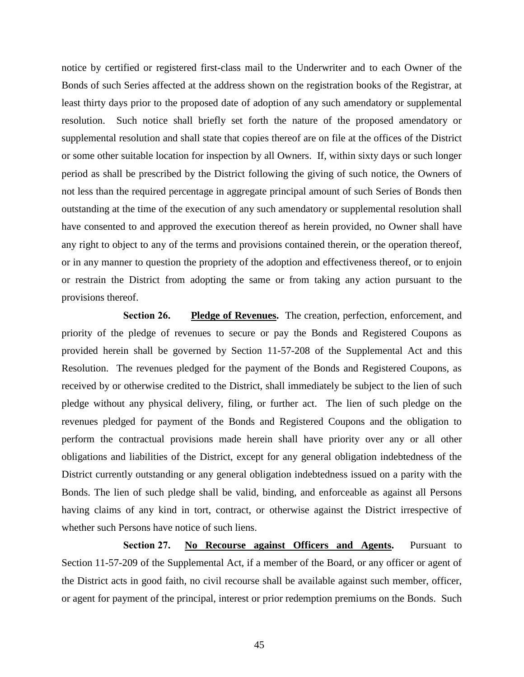notice by certified or registered first-class mail to the Underwriter and to each Owner of the Bonds of such Series affected at the address shown on the registration books of the Registrar, at least thirty days prior to the proposed date of adoption of any such amendatory or supplemental resolution. Such notice shall briefly set forth the nature of the proposed amendatory or supplemental resolution and shall state that copies thereof are on file at the offices of the District or some other suitable location for inspection by all Owners. If, within sixty days or such longer period as shall be prescribed by the District following the giving of such notice, the Owners of not less than the required percentage in aggregate principal amount of such Series of Bonds then outstanding at the time of the execution of any such amendatory or supplemental resolution shall have consented to and approved the execution thereof as herein provided, no Owner shall have any right to object to any of the terms and provisions contained therein, or the operation thereof, or in any manner to question the propriety of the adoption and effectiveness thereof, or to enjoin or restrain the District from adopting the same or from taking any action pursuant to the provisions thereof.

**Section 26. Pledge of Revenues.** The creation, perfection, enforcement, and priority of the pledge of revenues to secure or pay the Bonds and Registered Coupons as provided herein shall be governed by Section 11-57-208 of the Supplemental Act and this Resolution. The revenues pledged for the payment of the Bonds and Registered Coupons, as received by or otherwise credited to the District, shall immediately be subject to the lien of such pledge without any physical delivery, filing, or further act. The lien of such pledge on the revenues pledged for payment of the Bonds and Registered Coupons and the obligation to perform the contractual provisions made herein shall have priority over any or all other obligations and liabilities of the District, except for any general obligation indebtedness of the District currently outstanding or any general obligation indebtedness issued on a parity with the Bonds. The lien of such pledge shall be valid, binding, and enforceable as against all Persons having claims of any kind in tort, contract, or otherwise against the District irrespective of whether such Persons have notice of such liens.

**Section 27. No Recourse against Officers and Agents.** Pursuant to Section 11-57-209 of the Supplemental Act, if a member of the Board, or any officer or agent of the District acts in good faith, no civil recourse shall be available against such member, officer, or agent for payment of the principal, interest or prior redemption premiums on the Bonds. Such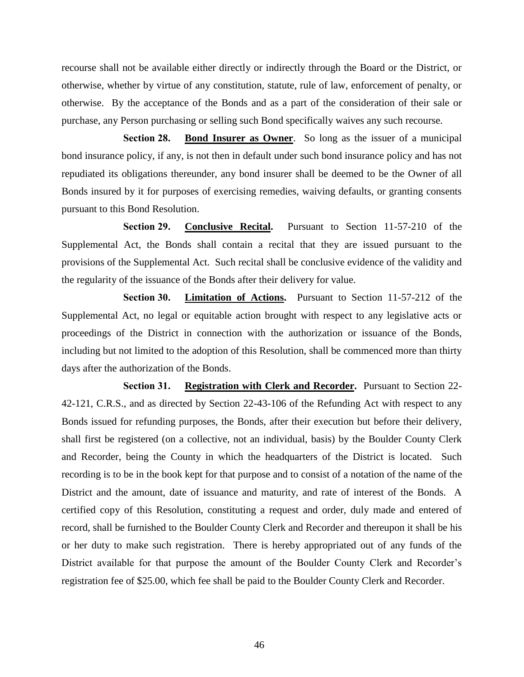recourse shall not be available either directly or indirectly through the Board or the District, or otherwise, whether by virtue of any constitution, statute, rule of law, enforcement of penalty, or otherwise. By the acceptance of the Bonds and as a part of the consideration of their sale or purchase, any Person purchasing or selling such Bond specifically waives any such recourse.

**Section 28. Bond Insurer as Owner**. So long as the issuer of a municipal bond insurance policy, if any, is not then in default under such bond insurance policy and has not repudiated its obligations thereunder, any bond insurer shall be deemed to be the Owner of all Bonds insured by it for purposes of exercising remedies, waiving defaults, or granting consents pursuant to this Bond Resolution.

**Section 29. Conclusive Recital.** Pursuant to Section 11-57-210 of the Supplemental Act, the Bonds shall contain a recital that they are issued pursuant to the provisions of the Supplemental Act. Such recital shall be conclusive evidence of the validity and the regularity of the issuance of the Bonds after their delivery for value.

**Section 30. Limitation of Actions.** Pursuant to Section 11-57-212 of the Supplemental Act, no legal or equitable action brought with respect to any legislative acts or proceedings of the District in connection with the authorization or issuance of the Bonds, including but not limited to the adoption of this Resolution, shall be commenced more than thirty days after the authorization of the Bonds.

**Section 31. Registration with Clerk and Recorder.** Pursuant to Section 22- 42-121, C.R.S., and as directed by Section 22-43-106 of the Refunding Act with respect to any Bonds issued for refunding purposes, the Bonds, after their execution but before their delivery, shall first be registered (on a collective, not an individual, basis) by the Boulder County Clerk and Recorder, being the County in which the headquarters of the District is located. Such recording is to be in the book kept for that purpose and to consist of a notation of the name of the District and the amount, date of issuance and maturity, and rate of interest of the Bonds. A certified copy of this Resolution, constituting a request and order, duly made and entered of record, shall be furnished to the Boulder County Clerk and Recorder and thereupon it shall be his or her duty to make such registration. There is hereby appropriated out of any funds of the District available for that purpose the amount of the Boulder County Clerk and Recorder's registration fee of \$25.00, which fee shall be paid to the Boulder County Clerk and Recorder.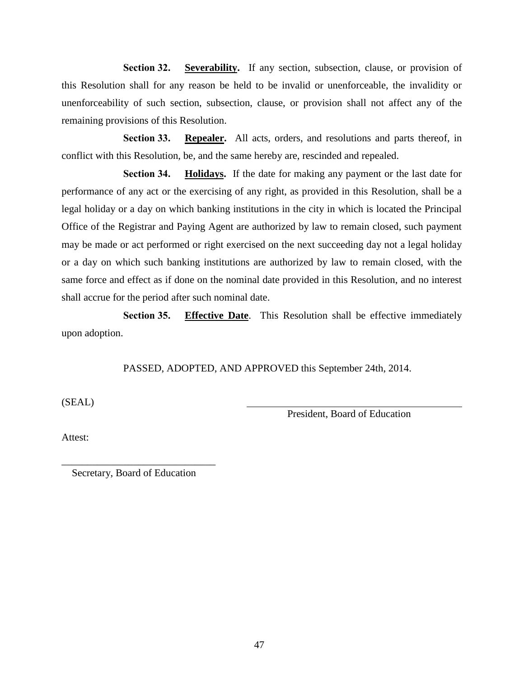**Section 32. Severability.** If any section, subsection, clause, or provision of this Resolution shall for any reason be held to be invalid or unenforceable, the invalidity or unenforceability of such section, subsection, clause, or provision shall not affect any of the remaining provisions of this Resolution.

**Section 33. Repealer.** All acts, orders, and resolutions and parts thereof, in conflict with this Resolution, be, and the same hereby are, rescinded and repealed.

**Section 34. Holidays.** If the date for making any payment or the last date for performance of any act or the exercising of any right, as provided in this Resolution, shall be a legal holiday or a day on which banking institutions in the city in which is located the Principal Office of the Registrar and Paying Agent are authorized by law to remain closed, such payment may be made or act performed or right exercised on the next succeeding day not a legal holiday or a day on which such banking institutions are authorized by law to remain closed, with the same force and effect as if done on the nominal date provided in this Resolution, and no interest shall accrue for the period after such nominal date.

**Section 35. Effective Date**. This Resolution shall be effective immediately upon adoption.

PASSED, ADOPTED, AND APPROVED this September 24th, 2014.

(SEAL)

President, Board of Education

Attest:

\_\_\_\_\_\_\_\_\_\_\_\_\_\_\_\_\_\_\_\_\_\_\_\_\_\_\_\_\_\_ Secretary, Board of Education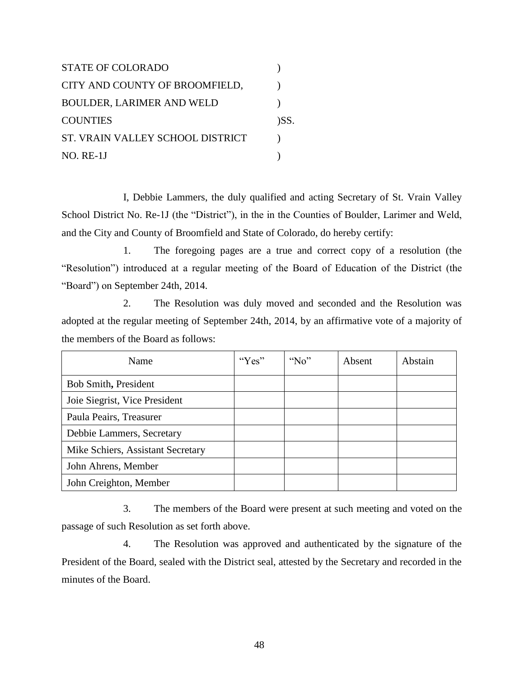STATE OF COLORADO (1) CITY AND COUNTY OF BROOMFIELD, BOULDER, LARIMER AND WELD ) COUNTIES (SS. ST. VRAIN VALLEY SCHOOL DISTRICT  $\qquad$ NO. RE-1J )

I, Debbie Lammers, the duly qualified and acting Secretary of St. Vrain Valley School District No. Re-1J (the "District"), in the in the Counties of Boulder, Larimer and Weld, and the City and County of Broomfield and State of Colorado, do hereby certify:

1. The foregoing pages are a true and correct copy of a resolution (the "Resolution") introduced at a regular meeting of the Board of Education of the District (the "Board") on September 24th, 2014.

2. The Resolution was duly moved and seconded and the Resolution was adopted at the regular meeting of September 24th, 2014, by an affirmative vote of a majority of the members of the Board as follows:

| Name                              | " $Yes"$ | "No" | Absent | Abstain |
|-----------------------------------|----------|------|--------|---------|
| Bob Smith, President              |          |      |        |         |
| Joie Siegrist, Vice President     |          |      |        |         |
| Paula Peairs, Treasurer           |          |      |        |         |
| Debbie Lammers, Secretary         |          |      |        |         |
| Mike Schiers, Assistant Secretary |          |      |        |         |
| John Ahrens, Member               |          |      |        |         |
| John Creighton, Member            |          |      |        |         |

3. The members of the Board were present at such meeting and voted on the passage of such Resolution as set forth above.

4. The Resolution was approved and authenticated by the signature of the President of the Board, sealed with the District seal, attested by the Secretary and recorded in the minutes of the Board.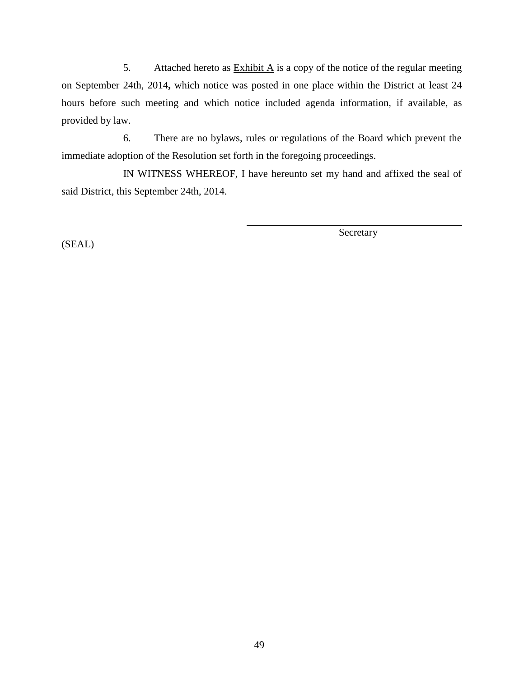5. Attached hereto as  $\frac{\text{Exhibit A}}{\text{A}}$  is a copy of the notice of the regular meeting on September 24th, 2014**,** which notice was posted in one place within the District at least 24 hours before such meeting and which notice included agenda information, if available, as provided by law.

6. There are no bylaws, rules or regulations of the Board which prevent the immediate adoption of the Resolution set forth in the foregoing proceedings.

IN WITNESS WHEREOF, I have hereunto set my hand and affixed the seal of said District, this September 24th, 2014.

(SEAL)

Secretary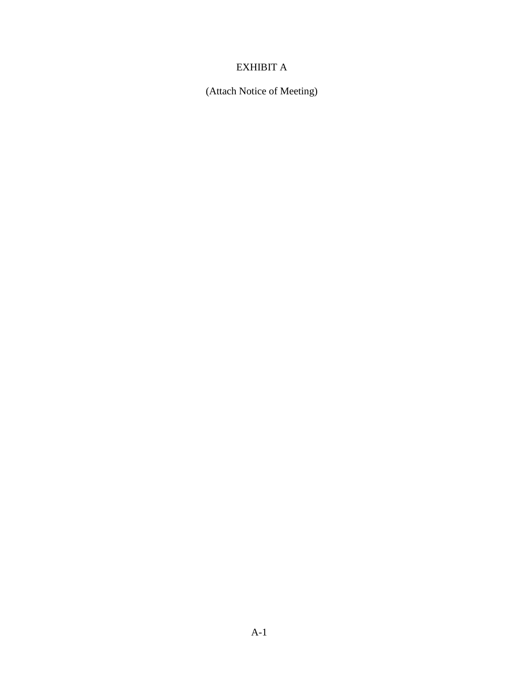# EXHIBIT A

(Attach Notice of Meeting)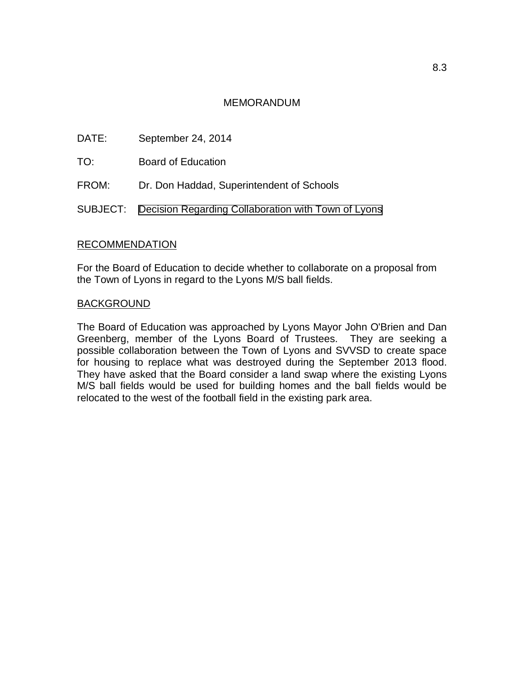# MEMORANDUM

<span id="page-59-0"></span>DATE: September 24, 2014

TO: Board of Education

FROM: Dr. Don Haddad, Superintendent of Schools

SUBJECT: [Decision Regarding Collaboration with Town of Lyons](#page-0-0)

# RECOMMENDATION

For the Board of Education to decide whether to collaborate on a proposal from the Town of Lyons in regard to the Lyons M/S ball fields.

### **BACKGROUND**

The Board of Education was approached by Lyons Mayor John O'Brien and Dan Greenberg, member of the Lyons Board of Trustees. They are seeking a possible collaboration between the Town of Lyons and SVVSD to create space for housing to replace what was destroyed during the September 2013 flood. They have asked that the Board consider a land swap where the existing Lyons M/S ball fields would be used for building homes and the ball fields would be relocated to the west of the football field in the existing park area.